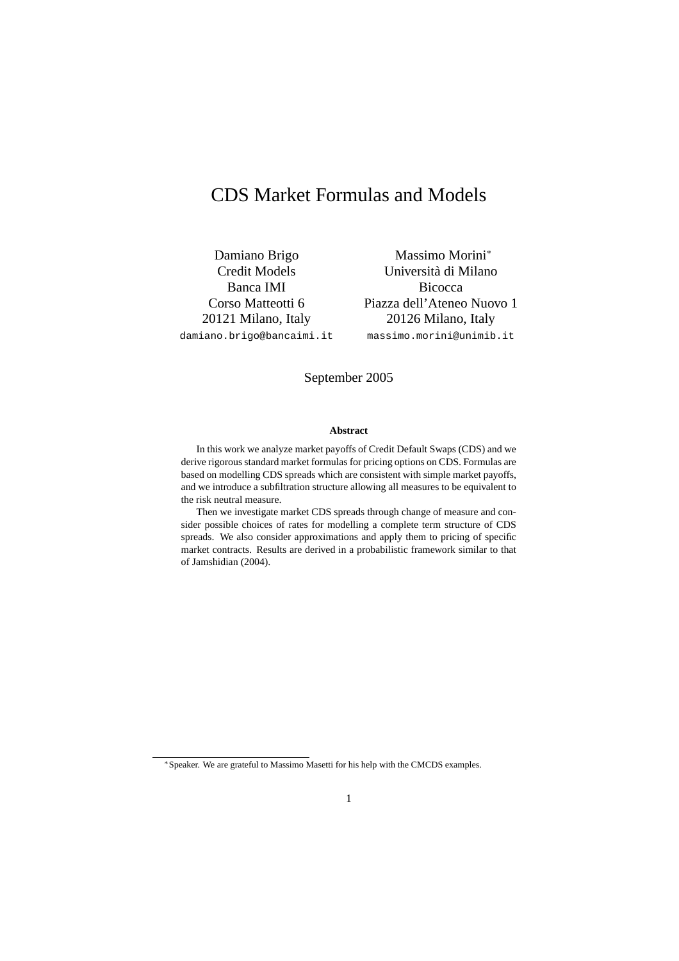# CDS Market Formulas and Models

Damiano Brigo Credit Models Banca IMI Corso Matteotti 6 20121 Milano, Italy damiano.brigo@bancaimi.it

Massimo Morini<sup>∗</sup> Universita di Milano ` **Bicocca** Piazza dell'Ateneo Nuovo 1 20126 Milano, Italy massimo.morini@unimib.it

### September 2005

### **Abstract**

In this work we analyze market payoffs of Credit Default Swaps (CDS) and we derive rigorous standard market formulas for pricing options on CDS. Formulas are based on modelling CDS spreads which are consistent with simple market payoffs, and we introduce a subfiltration structure allowing all measures to be equivalent to the risk neutral measure.

Then we investigate market CDS spreads through change of measure and consider possible choices of rates for modelling a complete term structure of CDS spreads. We also consider approximations and apply them to pricing of specific market contracts. Results are derived in a probabilistic framework similar to that of Jamshidian (2004).

<sup>∗</sup>Speaker. We are grateful to Massimo Masetti for his help with the CMCDS examples.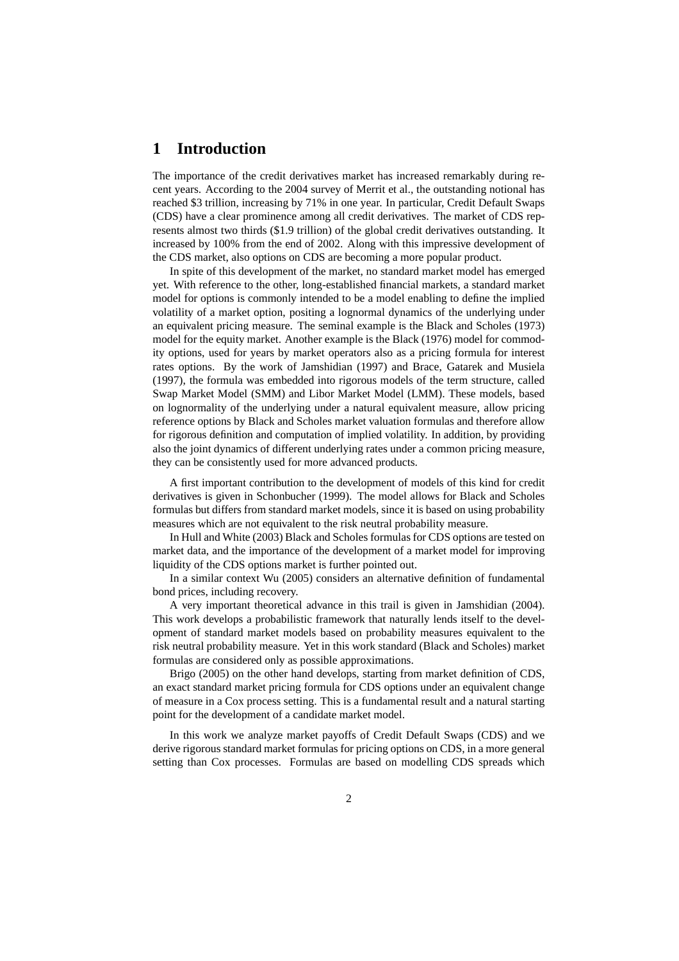# **1 Introduction**

The importance of the credit derivatives market has increased remarkably during recent years. According to the 2004 survey of Merrit et al., the outstanding notional has reached \$3 trillion, increasing by 71% in one year. In particular, Credit Default Swaps (CDS) have a clear prominence among all credit derivatives. The market of CDS represents almost two thirds (\$1.9 trillion) of the global credit derivatives outstanding. It increased by 100% from the end of 2002. Along with this impressive development of the CDS market, also options on CDS are becoming a more popular product.

In spite of this development of the market, no standard market model has emerged yet. With reference to the other, long-established financial markets, a standard market model for options is commonly intended to be a model enabling to define the implied volatility of a market option, positing a lognormal dynamics of the underlying under an equivalent pricing measure. The seminal example is the Black and Scholes (1973) model for the equity market. Another example is the Black (1976) model for commodity options, used for years by market operators also as a pricing formula for interest rates options. By the work of Jamshidian (1997) and Brace, Gatarek and Musiela (1997), the formula was embedded into rigorous models of the term structure, called Swap Market Model (SMM) and Libor Market Model (LMM). These models, based on lognormality of the underlying under a natural equivalent measure, allow pricing reference options by Black and Scholes market valuation formulas and therefore allow for rigorous definition and computation of implied volatility. In addition, by providing also the joint dynamics of different underlying rates under a common pricing measure, they can be consistently used for more advanced products.

A first important contribution to the development of models of this kind for credit derivatives is given in Schonbucher (1999). The model allows for Black and Scholes formulas but differs from standard market models, since it is based on using probability measures which are not equivalent to the risk neutral probability measure.

In Hull and White (2003) Black and Scholes formulas for CDS options are tested on market data, and the importance of the development of a market model for improving liquidity of the CDS options market is further pointed out.

In a similar context Wu (2005) considers an alternative definition of fundamental bond prices, including recovery.

A very important theoretical advance in this trail is given in Jamshidian (2004). This work develops a probabilistic framework that naturally lends itself to the development of standard market models based on probability measures equivalent to the risk neutral probability measure. Yet in this work standard (Black and Scholes) market formulas are considered only as possible approximations.

Brigo (2005) on the other hand develops, starting from market definition of CDS, an exact standard market pricing formula for CDS options under an equivalent change of measure in a Cox process setting. This is a fundamental result and a natural starting point for the development of a candidate market model.

In this work we analyze market payoffs of Credit Default Swaps (CDS) and we derive rigorous standard market formulas for pricing options on CDS, in a more general setting than Cox processes. Formulas are based on modelling CDS spreads which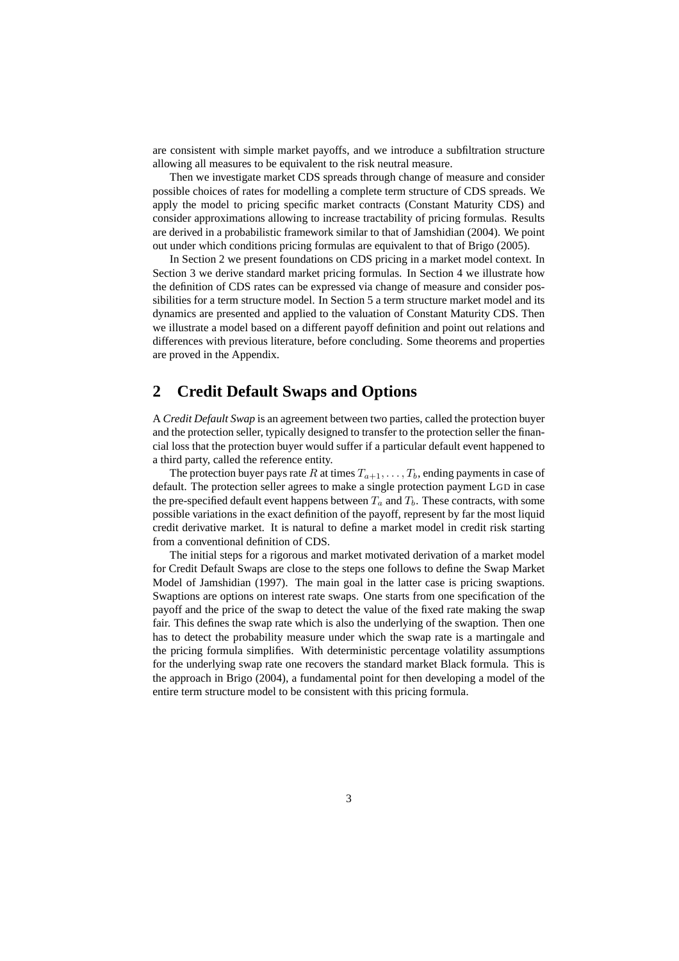are consistent with simple market payoffs, and we introduce a subfiltration structure allowing all measures to be equivalent to the risk neutral measure.

Then we investigate market CDS spreads through change of measure and consider possible choices of rates for modelling a complete term structure of CDS spreads. We apply the model to pricing specific market contracts (Constant Maturity CDS) and consider approximations allowing to increase tractability of pricing formulas. Results are derived in a probabilistic framework similar to that of Jamshidian (2004). We point out under which conditions pricing formulas are equivalent to that of Brigo (2005).

In Section 2 we present foundations on CDS pricing in a market model context. In Section 3 we derive standard market pricing formulas. In Section 4 we illustrate how the definition of CDS rates can be expressed via change of measure and consider possibilities for a term structure model. In Section 5 a term structure market model and its dynamics are presented and applied to the valuation of Constant Maturity CDS. Then we illustrate a model based on a different payoff definition and point out relations and differences with previous literature, before concluding. Some theorems and properties are proved in the Appendix.

# **2 Credit Default Swaps and Options**

A *Credit Default Swap* is an agreement between two parties, called the protection buyer and the protection seller, typically designed to transfer to the protection seller the financial loss that the protection buyer would suffer if a particular default event happened to a third party, called the reference entity.

The protection buyer pays rate R at times  $T_{a+1}, \ldots, T_b$ , ending payments in case of default. The protection seller agrees to make a single protection payment LGD in case the pre-specified default event happens between  $T_a$  and  $T_b$ . These contracts, with some possible variations in the exact definition of the payoff, represent by far the most liquid credit derivative market. It is natural to define a market model in credit risk starting from a conventional definition of CDS.

The initial steps for a rigorous and market motivated derivation of a market model for Credit Default Swaps are close to the steps one follows to define the Swap Market Model of Jamshidian (1997). The main goal in the latter case is pricing swaptions. Swaptions are options on interest rate swaps. One starts from one specification of the payoff and the price of the swap to detect the value of the fixed rate making the swap fair. This defines the swap rate which is also the underlying of the swaption. Then one has to detect the probability measure under which the swap rate is a martingale and the pricing formula simplifies. With deterministic percentage volatility assumptions for the underlying swap rate one recovers the standard market Black formula. This is the approach in Brigo (2004), a fundamental point for then developing a model of the entire term structure model to be consistent with this pricing formula.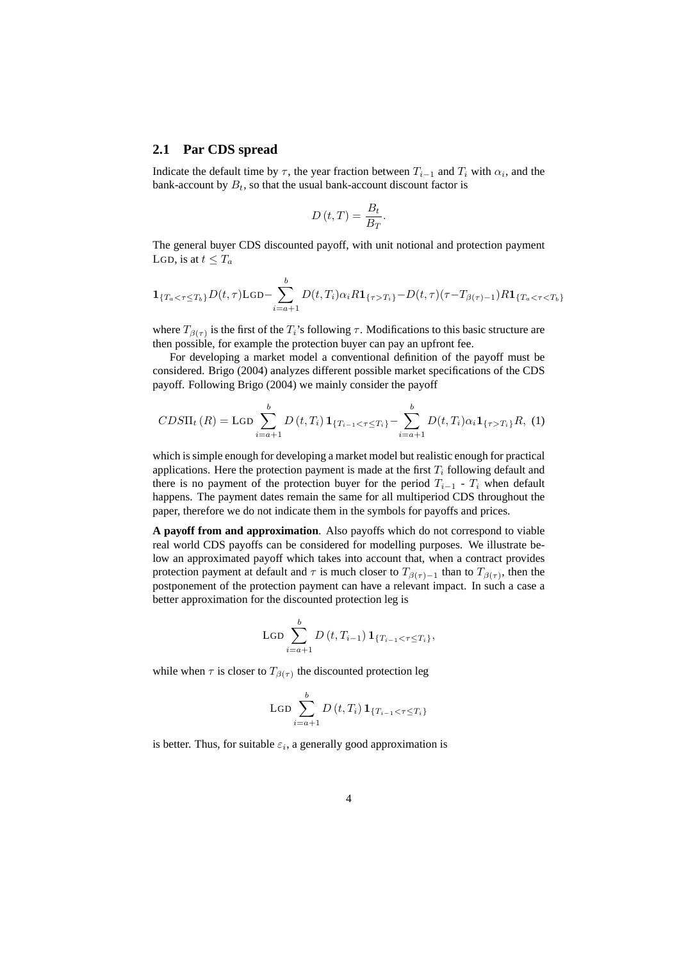#### **2.1 Par CDS spread**

Indicate the default time by  $\tau$ , the year fraction between  $T_{i-1}$  and  $T_i$  with  $\alpha_i$ , and the bank-account by  $B_t$ , so that the usual bank-account discount factor is

$$
D\left(t,T\right) = \frac{B_t}{B_T}
$$

.

The general buyer CDS discounted payoff, with unit notional and protection payment LGD, is at  $t \leq T_a$ 

$$
\mathbf{1}_{\{T_a < \tau \le T_b\}} D(t, \tau) \text{LGD} - \sum_{i=a+1}^b D(t, T_i) \alpha_i R \mathbf{1}_{\{\tau > T_i\}} - D(t, \tau) (\tau - T_{\beta(\tau)-1}) R \mathbf{1}_{\{T_a < \tau < T_b\}}
$$

where  $T_{\beta(\tau)}$  is the first of the  $T_i$ 's following  $\tau$ . Modifications to this basic structure are then possible, for example the protection buyer can pay an upfront fee.

For developing a market model a conventional definition of the payoff must be considered. Brigo (2004) analyzes different possible market specifications of the CDS payoff. Following Brigo (2004) we mainly consider the payoff

$$
CDS\Pi_t(R) = \text{LGD}\sum_{i=a+1}^{b} D(t, T_i) \mathbf{1}_{\{T_{i-1} < \tau \le T_i\}} - \sum_{i=a+1}^{b} D(t, T_i) \alpha_i \mathbf{1}_{\{\tau > T_i\}} R, \tag{1}
$$

which is simple enough for developing a market model but realistic enough for practical applications. Here the protection payment is made at the first  $T_i$  following default and there is no payment of the protection buyer for the period  $T_{i-1}$  -  $T_i$  when default happens. The payment dates remain the same for all multiperiod CDS throughout the paper, therefore we do not indicate them in the symbols for payoffs and prices.

**A payoff from and approximation**. Also payoffs which do not correspond to viable real world CDS payoffs can be considered for modelling purposes. We illustrate below an approximated payoff which takes into account that, when a contract provides protection payment at default and  $\tau$  is much closer to  $T_{\beta(\tau)-1}$  than to  $T_{\beta(\tau)}$ , then the postponement of the protection payment can have a relevant impact. In such a case a better approximation for the discounted protection leg is

$$
\text{LGD}\sum_{i=a+1}^{b} D(t, T_{i-1}) \mathbf{1}_{\{T_{i-1} < \tau \le T_i\}},
$$

while when  $\tau$  is closer to  $T_{\beta(\tau)}$  the discounted protection leg

$$
\operatorname{LGD} \sum_{i=a+1}^{b} D(t, T_i) \mathbf{1}_{\{T_{i-1} < \tau \le T_i\}}
$$

is better. Thus, for suitable  $\varepsilon_i$ , a generally good approximation is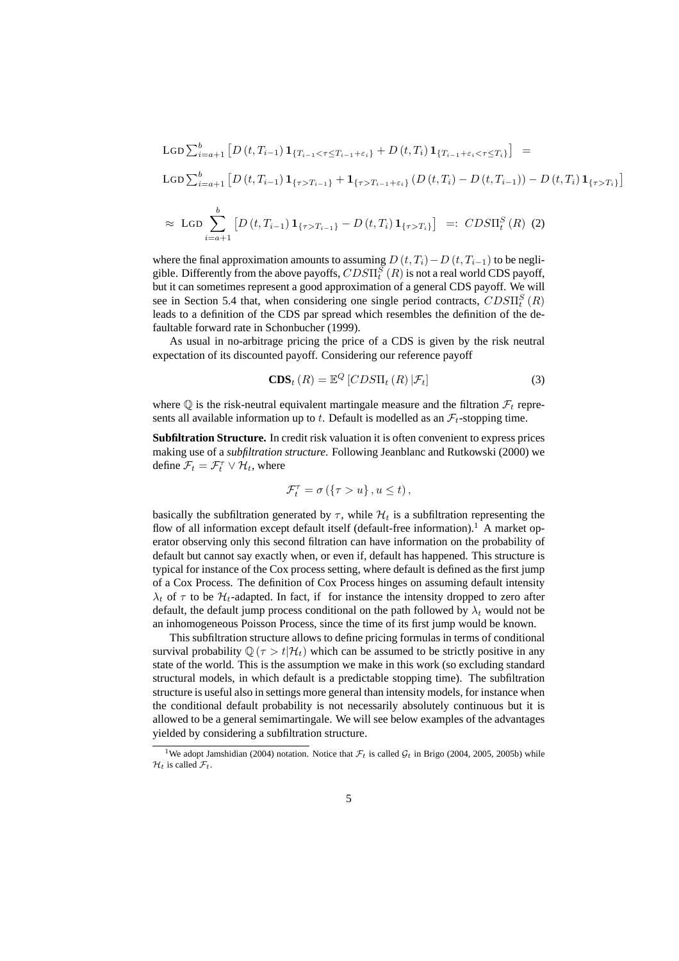$$
\begin{split}\n\text{LGD} \sum_{i=a+1}^{b} \left[ D(t, T_{i-1}) \mathbf{1}_{\{T_{i-1} < \tau \le T_{i-1} + \varepsilon_i\}} + D(t, T_i) \mathbf{1}_{\{T_{i-1} + \varepsilon_i < \tau \le T_i\}} \right] &= \\
\text{LGD} \sum_{i=a+1}^{b} \left[ D(t, T_{i-1}) \mathbf{1}_{\{\tau > T_{i-1}\}} + \mathbf{1}_{\{\tau > T_{i-1} + \varepsilon_i\}} \left( D(t, T_i) - D(t, T_{i-1}) \right) - D(t, T_i) \mathbf{1}_{\{\tau > T_i\}} \right] \\
&\approx \text{LGD} \sum_{i=a+1}^{b} \left[ D(t, T_{i-1}) \mathbf{1}_{\{\tau > T_{i-1}\}} - D(t, T_i) \mathbf{1}_{\{\tau > T_i\}} \right] &=:\n\text{CDS}\Pi_i^S(R) \tag{2}\n\end{split}
$$

where the final approximation amounts to assuming  $D(t, T_i) - D(t, T_{i-1})$  to be negligible. Differently from the above payoffs,  $CDS\Pi_{t}^{S}\left(R\right)$  is not a real world CDS payoff, but it can sometimes represent a good approximation of a general CDS payoff. We will see in Section 5.4 that, when considering one single period contracts,  $CDS\Pi_{t}^{S}\left(R\right)$ leads to a definition of the CDS par spread which resembles the definition of the defaultable forward rate in Schonbucher (1999).

As usual in no-arbitrage pricing the price of a CDS is given by the risk neutral expectation of its discounted payoff. Considering our reference payoff

$$
\mathbf{CDS}_{t}(R) = \mathbb{E}^{Q} \left[ CDS\Pi_{t}(R) \, | \mathcal{F}_{t} \right] \tag{3}
$$

where  $\mathbb Q$  is the risk-neutral equivalent martingale measure and the filtration  $\mathcal F_t$  represents all available information up to t. Default is modelled as an  $\mathcal{F}_t$ -stopping time.

**Subfiltration Structure.** In credit risk valuation it is often convenient to express prices making use of a *subfiltration structure*. Following Jeanblanc and Rutkowski (2000) we define  $\mathcal{F}_t = \mathcal{F}_t^{\tau} \vee \mathcal{H}_t$ , where

$$
\mathcal{F}_t^{\tau} = \sigma\left(\left\{\tau > u\right\}, u \le t\right),\,
$$

basically the subfiltration generated by  $\tau$ , while  $\mathcal{H}_t$  is a subfiltration representing the flow of all information except default itself (default-free information).<sup>1</sup> A market operator observing only this second filtration can have information on the probability of default but cannot say exactly when, or even if, default has happened. This structure is typical for instance of the Cox process setting, where default is defined as the first jump of a Cox Process. The definition of Cox Process hinges on assuming default intensity  $\lambda_t$  of  $\tau$  to be  $\mathcal{H}_t$ -adapted. In fact, if for instance the intensity dropped to zero after default, the default jump process conditional on the path followed by  $\lambda_t$  would not be an inhomogeneous Poisson Process, since the time of its first jump would be known.

This subfiltration structure allows to define pricing formulas in terms of conditional survival probability  $\mathbb{Q}(\tau > t | \mathcal{H}_t)$  which can be assumed to be strictly positive in any state of the world. This is the assumption we make in this work (so excluding standard structural models, in which default is a predictable stopping time). The subfiltration structure is useful also in settings more general than intensity models, for instance when the conditional default probability is not necessarily absolutely continuous but it is allowed to be a general semimartingale. We will see below examples of the advantages yielded by considering a subfiltration structure.

<sup>&</sup>lt;sup>1</sup>We adopt Jamshidian (2004) notation. Notice that  $\mathcal{F}_t$  is called  $\mathcal{G}_t$  in Brigo (2004, 2005, 2005b) while  $\mathcal{H}_t$  is called  $\mathcal{F}_t$ .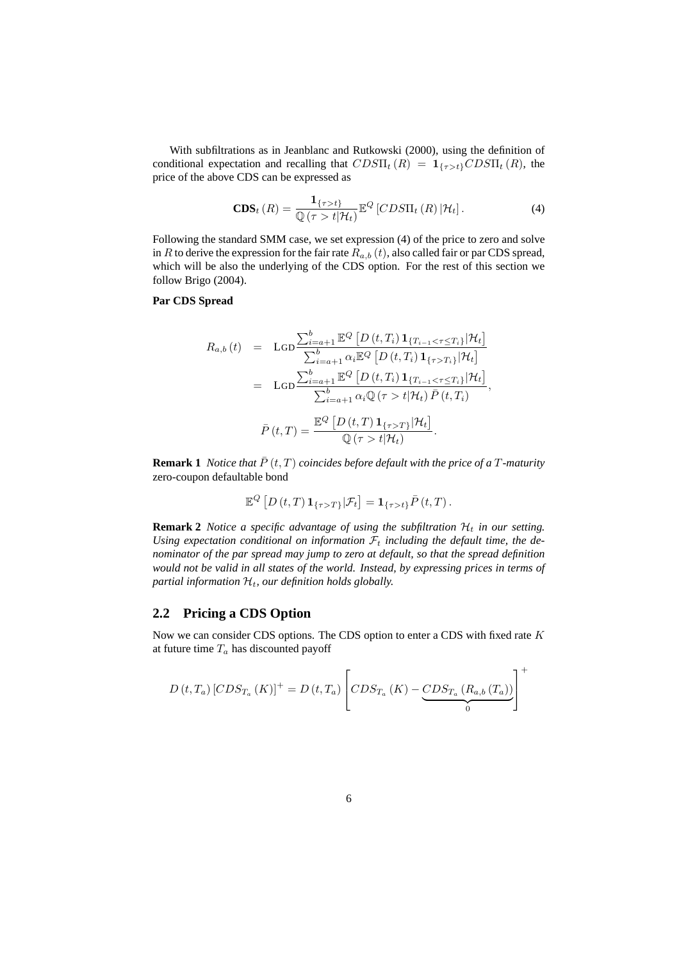With subfiltrations as in Jeanblanc and Rutkowski (2000), using the definition of conditional expectation and recalling that  $CDS\Pi_t(R) = \mathbf{1}_{\{\tau > t\}} CDS\Pi_t(R)$ , the price of the above CDS can be expressed as

$$
\mathbf{CDS}_{t}(R) = \frac{\mathbf{1}_{\{\tau > t\}}}{\mathbb{Q}(\tau > t | \mathcal{H}_{t})} \mathbb{E}^{Q} \left[ CDS\Pi_{t}(R) | \mathcal{H}_{t} \right]. \tag{4}
$$

Following the standard SMM case, we set expression (4) of the price to zero and solve in R to derive the expression for the fair rate  $R_{a,b}(t)$ , also called fair or par CDS spread, which will be also the underlying of the CDS option. For the rest of this section we follow Brigo (2004).

#### **Par CDS Spread**

$$
R_{a,b}(t) = \text{LGD}\frac{\sum_{i=a+1}^{b} \mathbb{E}^{Q} \left[ D(t, T_{i}) \mathbf{1}_{\{T_{i-1} < \tau \leq T_{i}\}} | \mathcal{H}_{t} \right]}{\sum_{i=a+1}^{b} \alpha_{i} \mathbb{E}^{Q} \left[ D(t, T_{i}) \mathbf{1}_{\{\tau > T_{i}\}} | \mathcal{H}_{t} \right]}
$$
\n
$$
= \text{LGD}\frac{\sum_{i=a+1}^{b} \mathbb{E}^{Q} \left[ D(t, T_{i}) \mathbf{1}_{\{T_{i-1} < \tau \leq T_{i}\}} | \mathcal{H}_{t} \right]}{\sum_{i=a+1}^{b} \alpha_{i} \mathbb{Q} \left( \tau > t | \mathcal{H}_{t} \right) \bar{P} \left( t, T_{i} \right)}
$$
\n
$$
\bar{P}(t, T) = \frac{\mathbb{E}^{Q} \left[ D(t, T) \mathbf{1}_{\{\tau > T\}} | \mathcal{H}_{t} \right]}{\mathbb{Q} \left( \tau > t | \mathcal{H}_{t} \right)}.
$$

**Remark 1** *Notice that*  $\overline{P}$  (*t, T*) *coincides before default with the price of a T-maturity* zero-coupon defaultable bond

$$
\mathbb{E}^Q [D(t,T) \mathbf{1}_{\{\tau>T\}} | \mathcal{F}_t] = \mathbf{1}_{\{\tau > t\}} \bar{P}(t,T).
$$

**Remark 2** *Notice a specific advantage of using the subfiltration*  $H_t$  *in our setting.* Using expectation conditional on information  $\mathcal{F}_t$  including the default time, the de*nominator of the par spread may jump to zero at default, so that the spread definition would not be valid in all states of the world. Instead, by expressing prices in terms of partial information*  $H_t$ *, our definition holds globally.* 

### **2.2 Pricing a CDS Option**

Now we can consider CDS options. The CDS option to enter a CDS with fixed rate  $K$ at future time  $T_a$  has discounted payoff

$$
D(t, T_a) \left[ CDS_{T_a}(K) \right]^+ = D(t, T_a) \left[ CDS_{T_a}(K) - \underbrace{CDS_{T_a}(R_{a,b}(T_a))}_{0} \right]^+
$$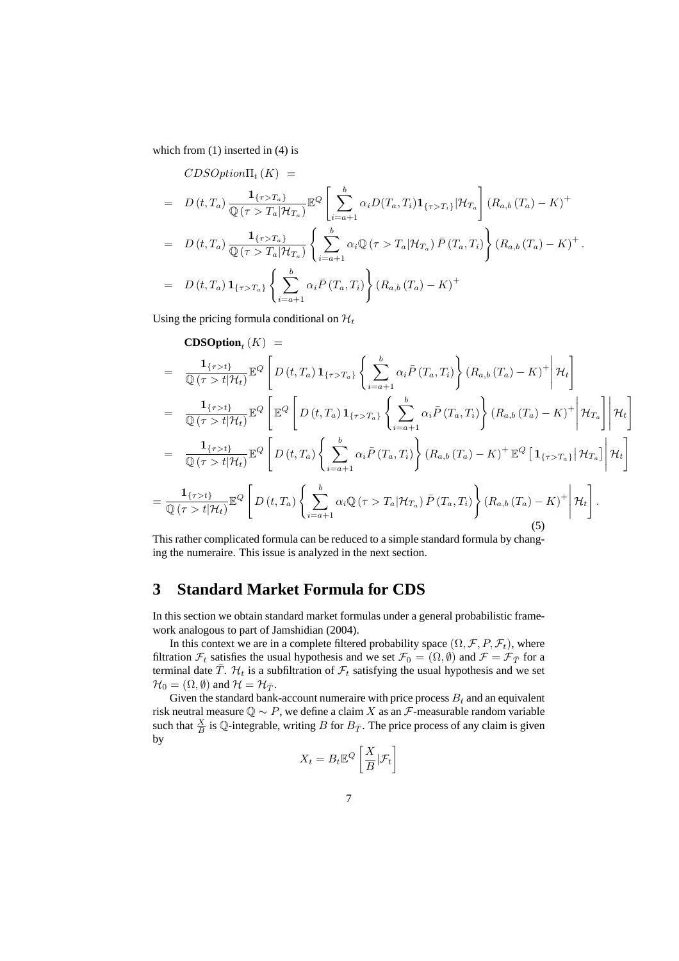which from  $(1)$  inserted in  $(4)$  is

$$
CDSOption\Pi_t (K) =
$$
\n
$$
= D(t, T_a) \frac{\mathbf{1}_{\{\tau > T_a\}}}{\mathbb{Q}(\tau > T_a | \mathcal{H}_{T_a})} \mathbb{E}^Q \left[ \sum_{i=a+1}^b \alpha_i D(T_a, T_i) \mathbf{1}_{\{\tau > T_i\}} | \mathcal{H}_{T_a} \right] (R_{a,b} (T_a) - K)^+
$$
\n
$$
= D(t, T_a) \frac{\mathbf{1}_{\{\tau > T_a\}}}{\mathbb{Q}(\tau > T_a | \mathcal{H}_{T_a})} \left\{ \sum_{i=a+1}^b \alpha_i \mathbb{Q}(\tau > T_a | \mathcal{H}_{T_a}) \bar{P}(T_a, T_i) \right\} (R_{a,b} (T_a) - K)^+.
$$
\n
$$
= D(t, T_a) \mathbf{1}_{\{\tau > T_a\}} \left\{ \sum_{i=a+1}^b \alpha_i \bar{P}(T_a, T_i) \right\} (R_{a,b} (T_a) - K)^+
$$

Using the pricing formula conditional on  $\mathcal{H}_t$ 

$$
\begin{split}\n&\textbf{CDSOption}_{t}(K) = \\
&= \frac{\mathbf{1}_{\{\tau > t\}}}{\mathbb{Q}(\tau > t | \mathcal{H}_{t})} \mathbb{E}^{Q} \left[ D(t, T_{a}) \mathbf{1}_{\{\tau > T_{a}\}} \left\{ \sum_{i=a+1}^{b} \alpha_{i} \bar{P}(T_{a}, T_{i}) \right\} (R_{a,b} (T_{a}) - K)^{+} \middle| \mathcal{H}_{t} \right] \\
&= \frac{\mathbf{1}_{\{\tau > t\}}}{\mathbb{Q}(\tau > t | \mathcal{H}_{t})} \mathbb{E}^{Q} \left[ \mathbb{E}^{Q} \left[ D(t, T_{a}) \mathbf{1}_{\{\tau > T_{a}\}} \left\{ \sum_{i=a+1}^{b} \alpha_{i} \bar{P}(T_{a}, T_{i}) \right\} (R_{a,b} (T_{a}) - K)^{+} \middle| \mathcal{H}_{T_{a}} \right] \middle| \mathcal{H}_{t} \right] \\
&= \frac{\mathbf{1}_{\{\tau > t\}}}{\mathbb{Q}(\tau > t | \mathcal{H}_{t})} \mathbb{E}^{Q} \left[ D(t, T_{a}) \left\{ \sum_{i=a+1}^{b} \alpha_{i} \bar{P}(T_{a}, T_{i}) \right\} (R_{a,b} (T_{a}) - K)^{+} \mathbb{E}^{Q} \left[ \mathbf{1}_{\{\tau > T_{a}\}} \middle| \mathcal{H}_{T_{a}} \right] \middle| \mathcal{H}_{t} \right] \\
&= \frac{\mathbf{1}_{\{\tau > t\}}}{\mathbb{Q}(\tau > t | \mathcal{H}_{t})} \mathbb{E}^{Q} \left[ D(t, T_{a}) \left\{ \sum_{i=a+1}^{b} \alpha_{i} \mathbb{Q}(\tau > T_{a} | \mathcal{H}_{T_{a}}) \bar{P}(T_{a}, T_{i}) \right\} (R_{a,b} (T_{a}) - K)^{+} \middle| \mathcal{H}_{t} \right].\n\end{split}
$$

This rather complicated formula can be reduced to a simple standard formula by changing the numeraire. This issue is analyzed in the next section.

### **3 Standard Market Formula for CDS**

In this section we obtain standard market formulas under a general probabilistic framework analogous to part of Jamshidian (2004).

In this context we are in a complete filtered probability space  $(\Omega, \mathcal{F}, P, \mathcal{F}_t)$ , where filtration  $\mathcal{F}_t$  satisfies the usual hypothesis and we set  $\mathcal{F}_0 = (\Omega, \emptyset)$  and  $\mathcal{F} = \mathcal{F}_{\overline{T}}$  for a terminal date  $\bar{T}$ .  $\mathcal{H}_t$  is a subfiltration of  $\mathcal{F}_t$  satisfying the usual hypothesis and we set  $\mathcal{H}_0 = (\Omega, \emptyset)$  and  $\mathcal{H} = \mathcal{H}_{\overline{T}}$ .

Given the standard bank-account numeraire with price process  $B_t$  and an equivalent risk neutral measure  $\mathbb{Q} \sim P$ , we define a claim X as an  $\mathcal{F}$ -measurable random variable such that  $\frac{X}{B}$  is Q-integrable, writing B for  $B_{\bar{T}}$ . The price process of any claim is given by ·  $\overline{a}$ 

$$
X_t = B_t \mathbb{E}^Q \left[ \frac{X}{B} | \mathcal{F}_t \right]
$$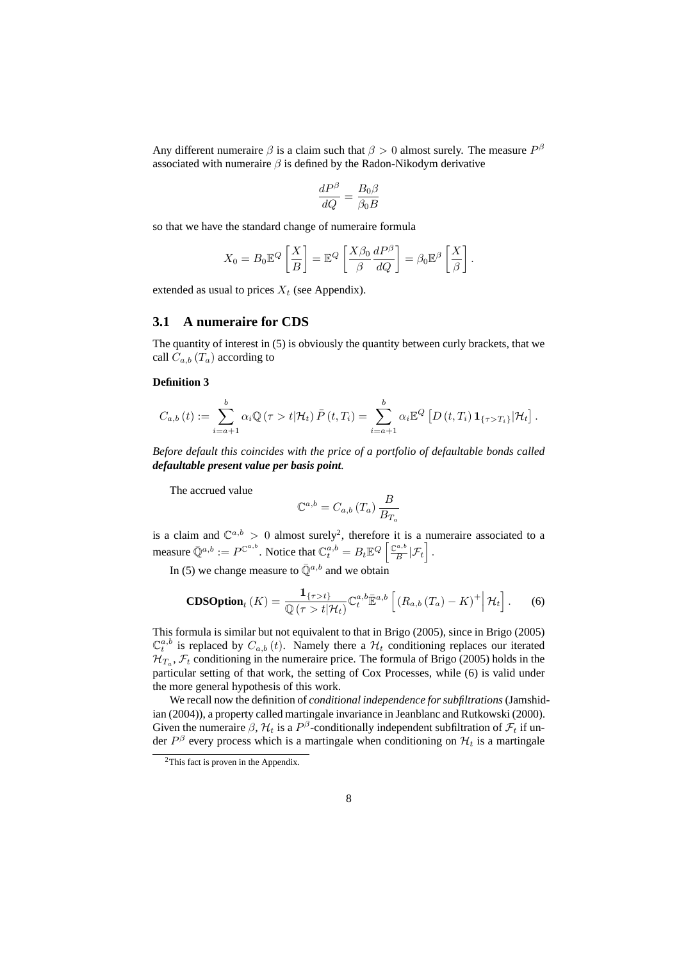Any different numeraire  $\beta$  is a claim such that  $\beta > 0$  almost surely. The measure  $P^{\beta}$ associated with numeraire  $\beta$  is defined by the Radon-Nikodym derivative

$$
\frac{dP^{\beta}}{dQ} = \frac{B_0 \beta}{\beta_0 B}
$$

so that we have the standard change of numeraire formula

$$
X_0 = B_0 \mathbb{E}^Q \left[ \frac{X}{B} \right] = \mathbb{E}^Q \left[ \frac{X \beta_0}{\beta} \frac{dP^{\beta}}{dQ} \right] = \beta_0 \mathbb{E}^{\beta} \left[ \frac{X}{\beta} \right].
$$

extended as usual to prices  $X_t$  (see Appendix).

### **3.1 A numeraire for CDS**

The quantity of interest in (5) is obviously the quantity between curly brackets, that we call  $C_{a,b}$  ( $T_a$ ) according to

### **Definition 3**

$$
C_{a,b}(t) := \sum_{i=a+1}^{b} \alpha_i \mathbb{Q}\left(\tau > t | \mathcal{H}_t\right) \bar{P}\left(t,T_i\right) = \sum_{i=a+1}^{b} \alpha_i \mathbb{E}^Q\left[D\left(t,T_i\right) \mathbf{1}_{\{\tau > T_i\}} | \mathcal{H}_t\right].
$$

*Before default this coincides with the price of a portfolio of defaultable bonds called defaultable present value per basis point.*

The accrued value

$$
\mathbb{C}^{a,b} = C_{a,b} \left( T_a \right) \frac{B}{B_{T_a}}
$$

is a claim and  $\mathbb{C}^{a,b} > 0$  almost surely<sup>2</sup>, therefore it is a numeraire associated to a measure  $\bar{\mathbb{Q}}^{a,b} := P^{\mathbb{C}^{a,b}}.$  Notice that  $\mathbb{C}^{a,b}_t = B_t \mathbb{E}^Q \left[ \frac{\mathbb{C}^{a,b}}{B} \right]$  $\frac{d\mu_{t,\theta}}{B}|\mathcal{F}_{t}|$  .

In (5) we change measure to  $\bar{\mathbb{Q}}^{a,b}$  and we obtain

$$
\mathbf{CDSOption}_{t}(K) = \frac{\mathbf{1}_{\{\tau > t\}}}{\mathbb{Q}(\tau > t | \mathcal{H}_{t})} \mathbb{C}_{t}^{a,b} \bar{\mathbb{E}}^{a,b} \left[ \left( R_{a,b} \left( T_{a} \right) - K \right)^{+} \middle| \mathcal{H}_{t} \right]. \tag{6}
$$

This formula is similar but not equivalent to that in Brigo (2005), since in Brigo (2005)  $\mathbb{C}_t^{a,b}$  is replaced by  $C_{a,b}(t)$ . Namely there a  $\mathcal{H}_t$  conditioning replaces our iterated  $\mathcal{H}_{T_a}, \mathcal{F}_t$  conditioning in the numeraire price. The formula of Brigo (2005) holds in the particular setting of that work, the setting of Cox Processes, while (6) is valid under the more general hypothesis of this work.

We recall now the definition of *conditional independence for subfiltrations*(Jamshidian (2004)), a property called martingale invariance in Jeanblanc and Rutkowski (2000). Given the numeraire  $\beta$ ,  $\mathcal{H}_t$  is a  $P^{\beta}$ -conditionally independent subfiltration of  $\mathcal{F}_t$  if under  $P^{\beta}$  every process which is a martingale when conditioning on  $\mathcal{H}_t$  is a martingale

<sup>2</sup>This fact is proven in the Appendix.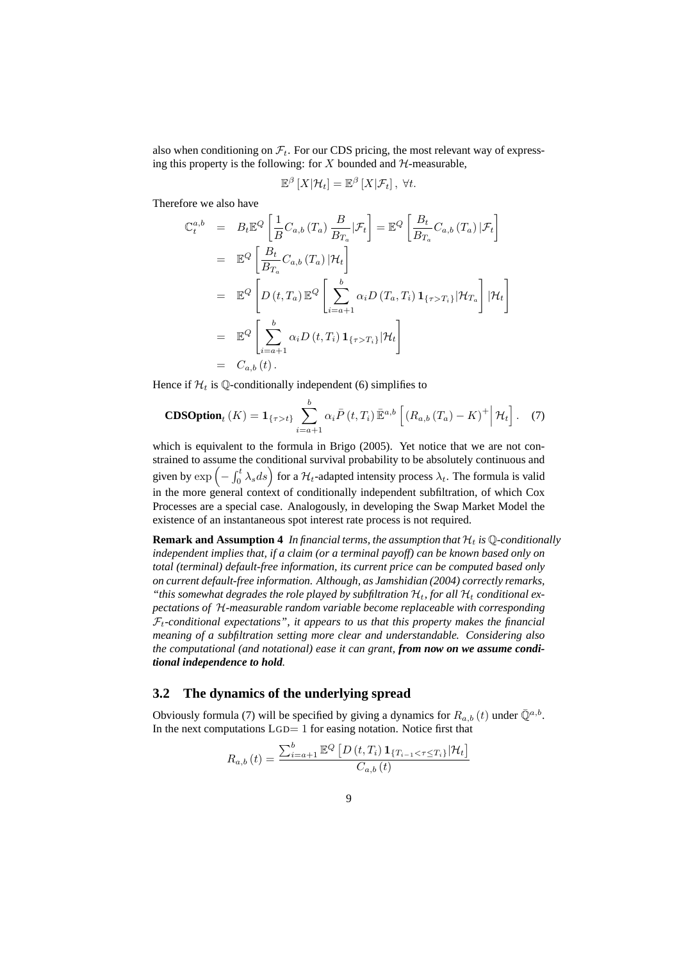also when conditioning on  $\mathcal{F}_t$ . For our CDS pricing, the most relevant way of expressing this property is the following: for  $X$  bounded and  $H$ -measurable,

$$
\mathbb{E}^{\beta}\left[X|\mathcal{H}_t\right] = \mathbb{E}^{\beta}\left[X|\mathcal{F}_t\right], \ \forall t.
$$

Therefore we also have

$$
\mathbb{C}_{t}^{a,b} = B_{t} \mathbb{E}^{Q} \left[ \frac{1}{B} C_{a,b} (T_{a}) \frac{B}{B_{T_{a}}} |\mathcal{F}_{t} \right] = \mathbb{E}^{Q} \left[ \frac{B_{t}}{B_{T_{a}}} C_{a,b} (T_{a}) |\mathcal{F}_{t} \right]
$$
  
\n
$$
= \mathbb{E}^{Q} \left[ \frac{B_{t}}{B_{T_{a}}} C_{a,b} (T_{a}) |\mathcal{H}_{t} \right]
$$
  
\n
$$
= \mathbb{E}^{Q} \left[ D(t, T_{a}) \mathbb{E}^{Q} \left[ \sum_{i=a+1}^{b} \alpha_{i} D(T_{a}, T_{i}) \mathbf{1}_{\{\tau > T_{i}\}} |\mathcal{H}_{T_{a}} \right] |\mathcal{H}_{t} \right]
$$
  
\n
$$
= \mathbb{E}^{Q} \left[ \sum_{i=a+1}^{b} \alpha_{i} D(t, T_{i}) \mathbf{1}_{\{\tau > T_{i}\}} |\mathcal{H}_{t} \right]
$$
  
\n
$$
= C_{a,b}(t).
$$

Hence if  $\mathcal{H}_t$  is Q-conditionally independent (6) simplifies to

$$
\mathbf{CDSOption}_{t}(K) = \mathbf{1}_{\{\tau > t\}} \sum_{i=a+1}^{b} \alpha_{i} \bar{P}(t, T_{i}) \bar{\mathbb{E}}^{a,b} \left[ \left( R_{a,b} (T_{a}) - K \right)^{+} \middle| \mathcal{H}_{t} \right]. \tag{7}
$$

which is equivalent to the formula in Brigo (2005). Yet notice that we are not constrained to assume the conditional survival probability to be absolutely continuous and strained to assume to<br>given by  $\exp\left(-\int_0^t$ the conditional survival probability to be absolutely continuous and  $\int_0^t \lambda_s ds$  for a  $\mathcal{H}_t$ -adapted intensity process  $\lambda_t$ . The formula is valid in the more general context of conditionally independent subfiltration, of which Cox Processes are a special case. Analogously, in developing the Swap Market Model the existence of an instantaneous spot interest rate process is not required.

**Remark and Assumption 4** In financial terms, the assumption that  $H_t$  is  $\mathbb{Q}$ -conditionally *independent implies that, if a claim (or a terminal payoff) can be known based only on total (terminal) default-free information, its current price can be computed based only on current default-free information. Although, as Jamshidian (2004) correctly remarks,* "this somewhat degrades the role played by subfiltration  $\mathcal{H}_t$ , for all  $\mathcal{H}_t$  conditional ex*pectations of* H*-measurable random variable become replaceable with corresponding*  $F_t$ -conditional expectations", it appears to us that this property makes the financial *meaning of a subfiltration setting more clear and understandable. Considering also the computational (and notational) ease it can grant, from now on we assume conditional independence to hold.*

### **3.2 The dynamics of the underlying spread**

Obviously formula (7) will be specified by giving a dynamics for  $R_{a,b}(t)$  under  $\bar{\mathbb{Q}}^{a,b}$ . In the next computations LGD= 1 for easing notation. Notice first that

$$
R_{a,b}(t) = \frac{\sum_{i=a+1}^{b} \mathbb{E}^{Q} \left[ D\left(t, T_{i}\right) \mathbf{1}_{\{T_{i-1} < \tau \leq T_{i}\}} \middle| \mathcal{H}_{t} \right]}{C_{a,b}(t)}
$$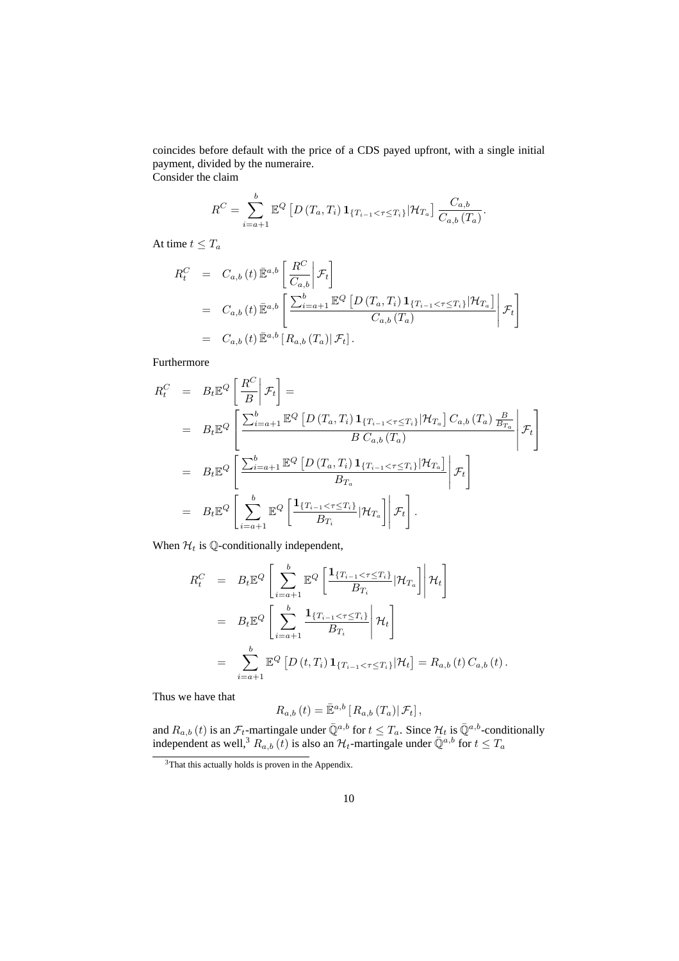coincides before default with the price of a CDS payed upfront, with a single initial payment, divided by the numeraire. Consider the claim

> $R^C = \sum^b$  $i=a+1$  $\mathbb{E}^Q$  [  $D\left(T_{a},T_{i}\right) \mathbf{1}_{\{T_{i-1} < \tau \leq T_{i}\}} \vert \mathcal{H}_{T_{a}} \right] \frac{C_{a,b}}{C_{a,b}}$  $\frac{\circ a, b}{C_{a,b}(T_a)}$ .

At time  $t \leq T_a$ 

$$
R_t^C = C_{a,b}(t) \overline{\mathbb{E}}^{a,b} \left[ \frac{R^C}{C_{a,b}} \Big| \mathcal{F}_t \right]
$$
  
=  $C_{a,b}(t) \overline{\mathbb{E}}^{a,b} \left[ \frac{\sum_{i=a+1}^b \mathbb{E}^Q \left[ D(T_a, T_i) \mathbf{1}_{\{T_{i-1} < \tau \le T_i\}} | \mathcal{H}_{T_a} \right]}{C_{a,b}(T_a)} \Big| \mathcal{F}_t \right]$   
=  $C_{a,b}(t) \overline{\mathbb{E}}^{a,b} \left[ R_{a,b}(T_a) | \mathcal{F}_t \right].$ 

Furthermore

$$
R_t^C = B_t \mathbb{E}^Q \left[ \frac{R^C}{B} \middle| \mathcal{F}_t \right] =
$$
  
\n
$$
= B_t \mathbb{E}^Q \left[ \frac{\sum_{i=a+1}^b \mathbb{E}^Q \left[ D(T_a, T_i) \mathbf{1}_{\{T_{i-1} < \tau \le T_i\}} | \mathcal{H}_{T_a} \right] C_{a,b} (T_a) \frac{B}{B_{T_a}}}{B C_{a,b} (T_a)} \middle| \mathcal{F}_t \right]
$$
  
\n
$$
= B_t \mathbb{E}^Q \left[ \frac{\sum_{i=a+1}^b \mathbb{E}^Q \left[ D(T_a, T_i) \mathbf{1}_{\{T_{i-1} < \tau \le T_i\}} | \mathcal{H}_{T_a} \right]}{B_{T_a}} \middle| \mathcal{F}_t \right]
$$
  
\n
$$
= B_t \mathbb{E}^Q \left[ \sum_{i=a+1}^b \mathbb{E}^Q \left[ \frac{\mathbf{1}_{\{T_{i-1} < \tau \le T_i\}}}{B_{T_i}} | \mathcal{H}_{T_a} \right] \middle| \mathcal{F}_t \right].
$$

When  $\mathcal{H}_t$  is Q-conditionally independent,

$$
R_t^C = B_t \mathbb{E}^Q \left[ \sum_{i=a+1}^b \mathbb{E}^Q \left[ \frac{\mathbf{1}_{\{T_{i-1} < \tau \le T_i\}}}{B_{T_i}} | \mathcal{H}_{T_a} \right] \middle| \mathcal{H}_t \right]
$$
\n
$$
= B_t \mathbb{E}^Q \left[ \sum_{i=a+1}^b \frac{\mathbf{1}_{\{T_{i-1} < \tau \le T_i\}}}{B_{T_i}} \middle| \mathcal{H}_t \right]
$$
\n
$$
= \sum_{i=a+1}^b \mathbb{E}^Q \left[ D(t, T_i) \mathbf{1}_{\{T_{i-1} < \tau \le T_i\}} | \mathcal{H}_t \right] = R_{a,b}(t) C_{a,b}(t).
$$

Thus we have that

$$
R_{a,b}\left(t\right) = \bar{\mathbb{E}}^{a,b}\left[R_{a,b}\left(T_a\right)|\mathcal{F}_t\right],
$$

and  $R_{a,b}(t)$  is an  $\mathcal{F}_t$ -martingale under  $\bar{\mathbb{Q}}^{a,b}$  for  $t \leq T_a$ . Since  $\mathcal{H}_t$  is  $\bar{\mathbb{Q}}^{a,b}$ -conditionally independent as well,<sup>3</sup>  $R_{a,b}$  (t) is also an  $\mathcal{H}_t$ -martingale under  $\bar{\mathbb{Q}}^{a,b}$  for  $t \leq T_a$ 

<sup>3</sup>That this actually holds is proven in the Appendix.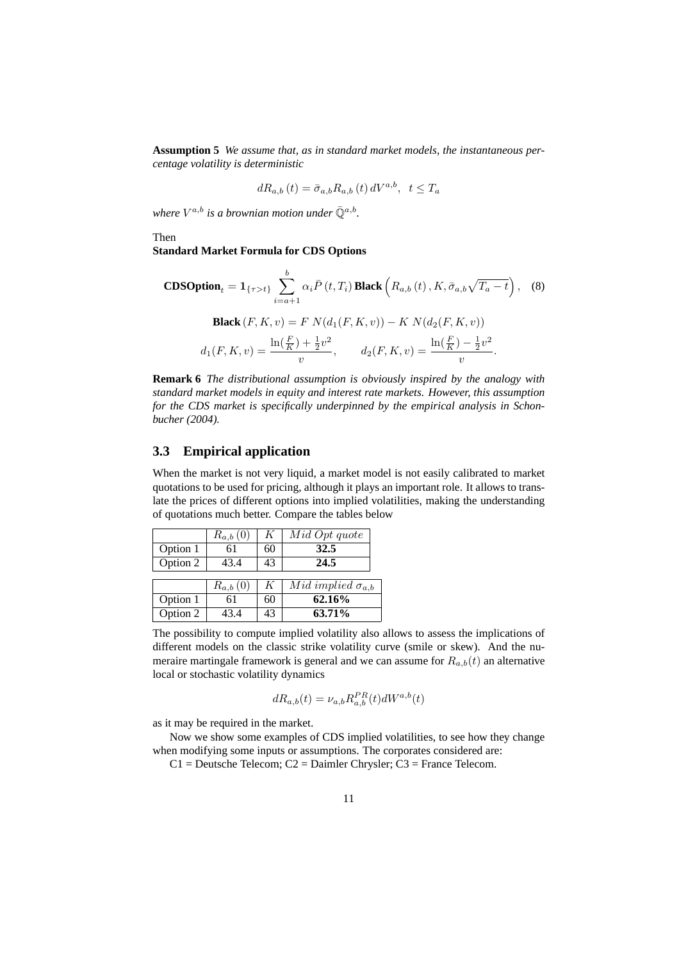**Assumption 5** *We assume that, as in standard market models, the instantaneous percentage volatility is deterministic*

$$
dR_{a,b}\left(t\right) = \bar{\sigma}_{a,b}R_{a,b}\left(t\right)dV^{a,b}, \ \ t \leq T_a
$$

where  $V^{a,b}$  is a brownian motion under  $\bar{\mathbb{Q}}^{a,b}$ .

Then

**Standard Market Formula for CDS Options**

**CDSOption**<sub>t</sub> = 
$$
\mathbf{1}_{\{\tau > t\}} \sum_{i=a+1}^{b} \alpha_i \bar{P}(t, T_i)
$$
**Black**  $(R_{a,b}(t), K, \bar{\sigma}_{a,b}\sqrt{T_a - t})$ , (8)  
\n**Black**  $(F, K, v) = F N(d_1(F, K, v)) - K N(d_2(F, K, v))$   
\n $d_1(F, K, v) = \frac{\ln(\frac{F}{K}) + \frac{1}{2}v^2}{v}, \qquad d_2(F, K, v) = \frac{\ln(\frac{F}{K}) - \frac{1}{2}v^2}{v}.$ 

**Remark 6** *The distributional assumption is obviously inspired by the analogy with standard market models in equity and interest rate markets. However, this assumption for the CDS market is specifically underpinned by the empirical analysis in Schonbucher (2004).*

### **3.3 Empirical application**

When the market is not very liquid, a market model is not easily calibrated to market quotations to be used for pricing, although it plays an important role. It allows to translate the prices of different options into implied volatilities, making the understanding of quotations much better. Compare the tables below

|                      | $R_{a,b}\left(0\right)$ | K  | Mid Opt quote              |
|----------------------|-------------------------|----|----------------------------|
| Option 1             | 61                      | 60 | 32.5                       |
| Option 2             | 43.4                    | 43 | 24.5                       |
|                      |                         |    |                            |
|                      |                         |    |                            |
|                      | $R_{a,b}(0)$            | K  | Mid implied $\sigma_{a,b}$ |
| Option 1<br>Option 2 | 61                      | 60 | 62.16%                     |

The possibility to compute implied volatility also allows to assess the implications of different models on the classic strike volatility curve (smile or skew). And the numeraire martingale framework is general and we can assume for  $R_{a,b}(t)$  an alternative local or stochastic volatility dynamics

$$
dR_{a,b}(t) = \nu_{a,b} R_{a,b}^{PR}(t) dW^{a,b}(t)
$$

as it may be required in the market.

Now we show some examples of CDS implied volatilities, to see how they change when modifying some inputs or assumptions. The corporates considered are:

 $C1$  = Deutsche Telecom;  $C2$  = Daimler Chrysler;  $C3$  = France Telecom.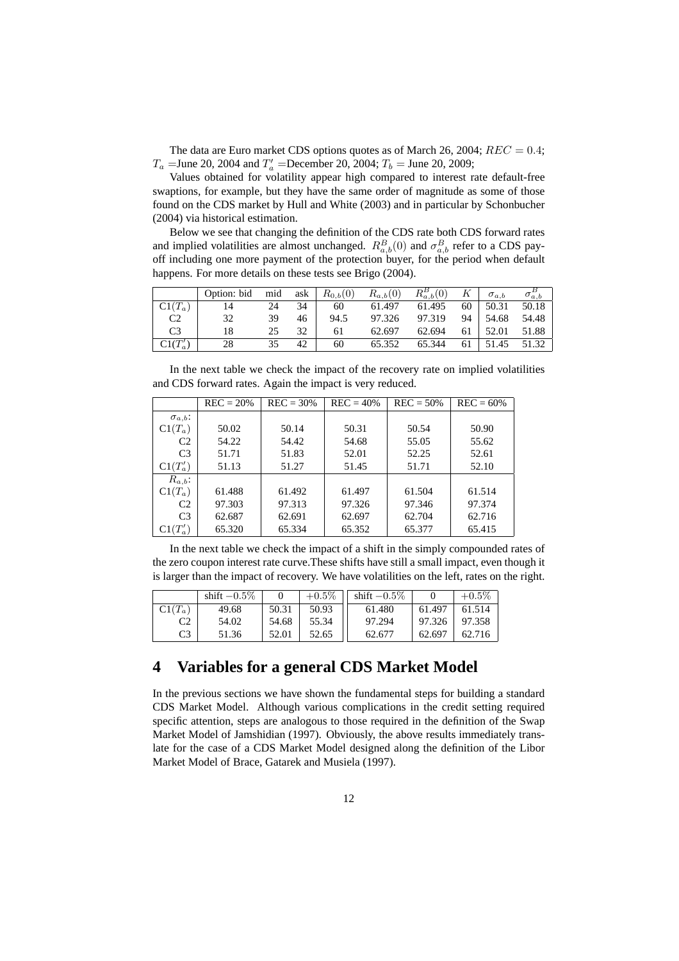The data are Euro market CDS options quotes as of March 26, 2004;  $REC = 0.4$ ;  $T_a$  = June 20, 2004 and  $T'_a$  = December 20, 2004;  $T_b$  = June 20, 2009;

Values obtained for volatility appear high compared to interest rate default-free swaptions, for example, but they have the same order of magnitude as some of those found on the CDS market by Hull and White (2003) and in particular by Schonbucher (2004) via historical estimation.

Below we see that changing the definition of the CDS rate both CDS forward rates and implied volatilities are almost unchanged.  $R_{a,b}^B(0)$  and  $\sigma_{a,b}^B$  refer to a CDS payoff including one more payment of the protection buyer, for the period when default happens. For more details on these tests see Brigo (2004).

|                | Option: bid | mid | ask | $R_{0,b}(0)$ | $R_{a,b}(0)$ | $R_{a,b}^B(0)$ | К  | $\sigma_{a,b}$ | $\sigma_{a,b}^-$ |
|----------------|-------------|-----|-----|--------------|--------------|----------------|----|----------------|------------------|
| $Cl(T_a)$      | 14          | 24  | 34  | 60           | 61.497       | 61.495         | 60 | 50.31          | 50.18            |
| C2             | 32          | 39  | 46  | 94.5         | 97.326       | 97.319         | 94 | 54.68          | 54.48            |
| C <sub>3</sub> | 18          | 25  | 32  | 61           | 62.697       | 62.694         | 61 | 52.01          | 51.88            |
| $Cl(T'_a)$     | 28          | 35  | 42  | 60           | 65.352       | 65.344         | 61 | 51.45          | 51.32            |

In the next table we check the impact of the recovery rate on implied volatilities and CDS forward rates. Again the impact is very reduced.

|                  | $REC = 20\%$ | $REC = 30\%$ | $REC = 40\%$ | $REC = 50\%$ | $REC = 60%$ |
|------------------|--------------|--------------|--------------|--------------|-------------|
| $\sigma_{a,b}$ : |              |              |              |              |             |
| $Cl(T_a)$        | 50.02        | 50.14        | 50.31        | 50.54        | 50.90       |
| C <sub>2</sub>   | 54.22        | 54.42        | 54.68        | 55.05        | 55.62       |
| C <sub>3</sub>   | 51.71        | 51.83        | 52.01        | 52.25        | 52.61       |
| $Cl(T'_a)$       | 51.13        | 51.27        | 51.45        | 51.71        | 52.10       |
| $R_{a,b}$ :      |              |              |              |              |             |
| $Cl(T_a)$        | 61.488       | 61.492       | 61.497       | 61.504       | 61.514      |
| C <sub>2</sub>   | 97.303       | 97.313       | 97.326       | 97.346       | 97.374      |
| C <sub>3</sub>   | 62.687       | 62.691       | 62.697       | 62.704       | 62.716      |
| $Cl(T'_a)$       | 65.320       | 65.334       | 65.352       | 65.377       | 65.415      |

In the next table we check the impact of a shift in the simply compounded rates of the zero coupon interest rate curve.These shifts have still a small impact, even though it is larger than the impact of recovery. We have volatilities on the left, rates on the right.

|           | shift $-0.5\%$ |       | $+0.5\%$ | shift $-0.5\%$ |        | $+0.5\%$ |
|-----------|----------------|-------|----------|----------------|--------|----------|
| $Cl(T_a)$ | 49.68          | 50.31 | 50.93    | 61.480         | 61.497 | 61.514   |
| C2        | 54.02          | 54.68 | 55.34    | 97.294         | 97.326 | 97.358   |
| C3        | 51.36          | 52.01 | 52.65    | 62.677         | 62.697 | 62.716   |

# **4 Variables for a general CDS Market Model**

In the previous sections we have shown the fundamental steps for building a standard CDS Market Model. Although various complications in the credit setting required specific attention, steps are analogous to those required in the definition of the Swap Market Model of Jamshidian (1997). Obviously, the above results immediately translate for the case of a CDS Market Model designed along the definition of the Libor Market Model of Brace, Gatarek and Musiela (1997).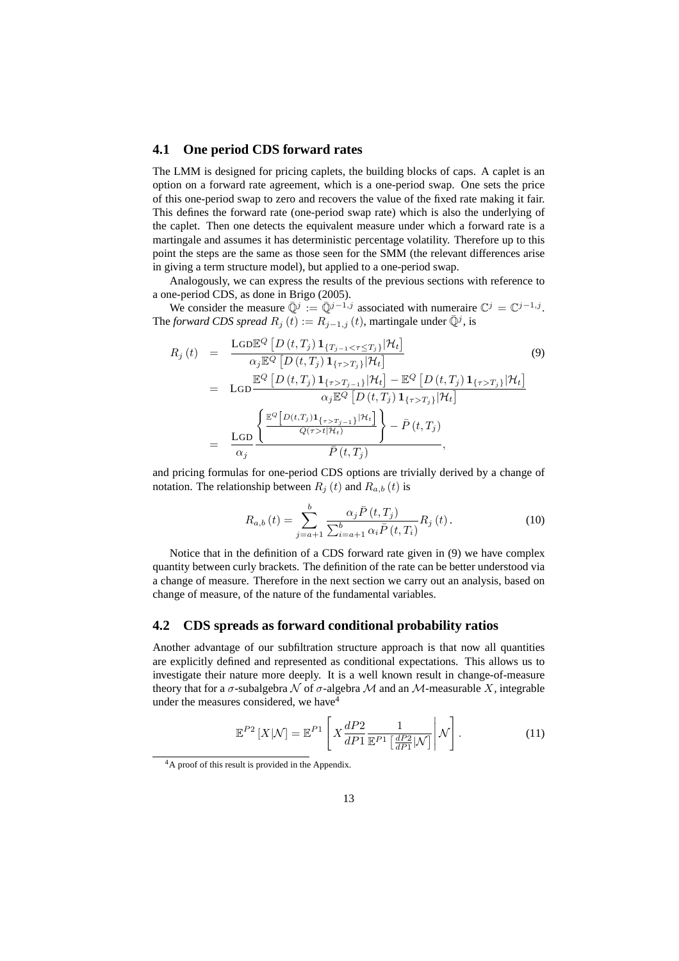#### **4.1 One period CDS forward rates**

The LMM is designed for pricing caplets, the building blocks of caps. A caplet is an option on a forward rate agreement, which is a one-period swap. One sets the price of this one-period swap to zero and recovers the value of the fixed rate making it fair. This defines the forward rate (one-period swap rate) which is also the underlying of the caplet. Then one detects the equivalent measure under which a forward rate is a martingale and assumes it has deterministic percentage volatility. Therefore up to this point the steps are the same as those seen for the SMM (the relevant differences arise in giving a term structure model), but applied to a one-period swap.

Analogously, we can express the results of the previous sections with reference to a one-period CDS, as done in Brigo (2005).

We consider the measure  $\overline{\mathbb{Q}}^j := \overline{\mathbb{Q}}^{j-1,j}$  associated with numeraire  $\mathbb{C}^j = \mathbb{C}^{j-1,j}$ . The *forward CDS spread*  $R_j(t) := R_{j-1,j}(t)$ , martingale under  $\overline{Q}^j$ , is

$$
R_{j}(t) = \frac{\text{LGDE}^{Q} \left[ D(t, T_{j}) \mathbf{1}_{\{T_{j-1} < \tau \leq T_{j}\}} | \mathcal{H}_{t} \right]}{\alpha_{j} \mathbb{E}^{Q} \left[ D(t, T_{j}) \mathbf{1}_{\{\tau > T_{j}\}} | \mathcal{H}_{t} \right]} \tag{9}
$$
\n
$$
= \text{LGD} \frac{\mathbb{E}^{Q} \left[ D(t, T_{j}) \mathbf{1}_{\{\tau > T_{j-1}\}} | \mathcal{H}_{t} \right] - \mathbb{E}^{Q} \left[ D(t, T_{j}) \mathbf{1}_{\{\tau > T_{j}\}} | \mathcal{H}_{t} \right]}{\alpha_{j} \mathbb{E}^{Q} \left[ D(t, T_{j}) \mathbf{1}_{\{\tau > T_{j}\}} | \mathcal{H}_{t} \right]}
$$
\n
$$
= \frac{\text{LGD} \left\{ \frac{\mathbb{E}^{Q} \left[ D(t, T_{j}) \mathbf{1}_{\{\tau > T_{j-1}\}} | \mathcal{H}_{t} \right]}{\mathcal{Q}(\tau > t | \mathcal{H}_{t})} \right\} - \bar{P}(t, T_{j})}{\bar{P}(t, T_{j})},
$$
\n(9)

and pricing formulas for one-period CDS options are trivially derived by a change of notation. The relationship between  $R_j(t)$  and  $R_{a,b}(t)$  is

$$
R_{a,b}(t) = \sum_{j=a+1}^{b} \frac{\alpha_j \bar{P}(t, T_j)}{\sum_{i=a+1}^{b} \alpha_i \bar{P}(t, T_i)} R_j(t).
$$
 (10)

Notice that in the definition of a CDS forward rate given in (9) we have complex quantity between curly brackets. The definition of the rate can be better understood via a change of measure. Therefore in the next section we carry out an analysis, based on change of measure, of the nature of the fundamental variables.

#### **4.2 CDS spreads as forward conditional probability ratios**

Another advantage of our subfiltration structure approach is that now all quantities are explicitly defined and represented as conditional expectations. This allows us to investigate their nature more deeply. It is a well known result in change-of-measure theory that for a  $\sigma$ -subalgebra  $\mathcal N$  of  $\sigma$ -algebra  $\mathcal M$  and an  $\mathcal M$ -measurable X, integrable under the measures considered, we have  $4$ 

$$
\mathbb{E}^{P2}\left[X|\mathcal{N}\right] = \mathbb{E}^{P1}\left[X\frac{dP2}{dP1}\frac{1}{\mathbb{E}^{P1}\left[\frac{dP2}{dP1}|\mathcal{N}\right]}\middle|\mathcal{N}\right].\tag{11}
$$

<sup>4</sup>A proof of this result is provided in the Appendix.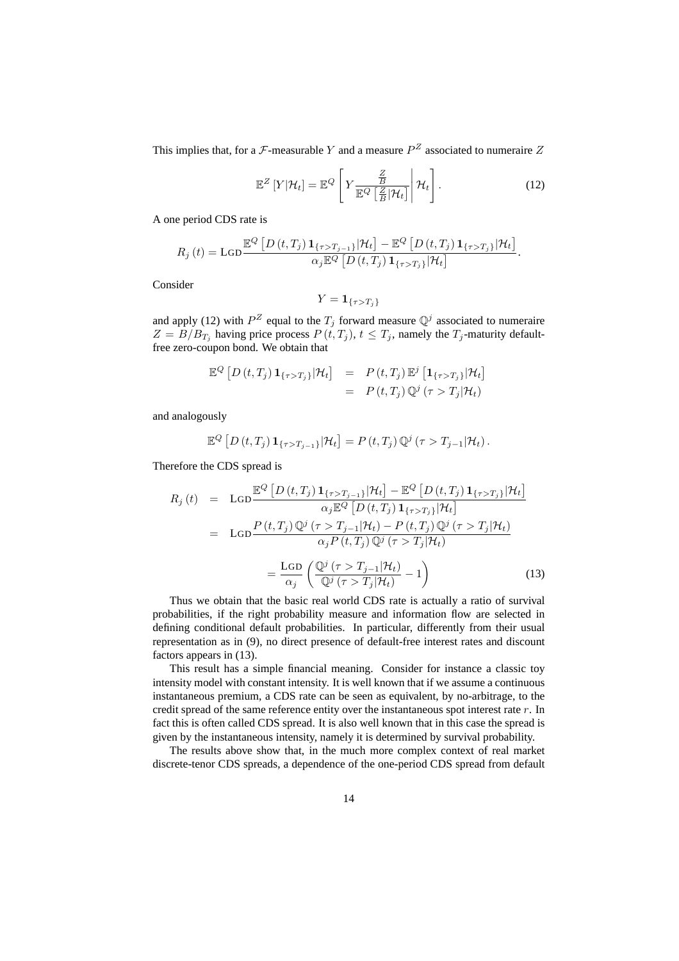This implies that, for a  $\mathcal F$ -measurable Y and a measure  $P^Z$  associated to numeraire Z

$$
\mathbb{E}^{Z}\left[Y|\mathcal{H}_{t}\right] = \mathbb{E}^{Q}\left[Y\frac{\frac{Z}{B}}{\mathbb{E}^{Q}\left[\frac{Z}{B}|\mathcal{H}_{t}\right]}\middle|\mathcal{H}_{t}\right].
$$
\n(12)

A one period CDS rate is

$$
R_j(t) = \text{LGD} \frac{\mathbb{E}^Q \left[ D(t, T_j) \mathbf{1}_{\{\tau > T_{j-1}\}} | \mathcal{H}_t \right] - \mathbb{E}^Q \left[ D(t, T_j) \mathbf{1}_{\{\tau > T_j\}} | \mathcal{H}_t \right]}{\alpha_j \mathbb{E}^Q \left[ D(t, T_j) \mathbf{1}_{\{\tau > T_j\}} | \mathcal{H}_t \right]}.
$$

Consider

$$
Y = \mathbf{1}_{\{\tau > T_j\}}
$$

and apply (12) with  $P^Z$  equal to the  $T_j$  forward measure  $\mathbb{Q}^j$  associated to numeraire  $Z = B/B_{T_j}$  having price process  $P(t, T_j)$ ,  $t \leq T_j$ , namely the  $T_j$ -maturity defaultfree zero-coupon bond. We obtain that

$$
\mathbb{E}^Q [D(t, T_j) \mathbf{1}_{\{\tau > T_j\}} | \mathcal{H}_t] = P(t, T_j) \mathbb{E}^j [\mathbf{1}_{\{\tau > T_j\}} | \mathcal{H}_t]
$$
  
=  $P(t, T_j) \mathbb{Q}^j (\tau > T_j | \mathcal{H}_t)$ 

and analogously

$$
\mathbb{E}^Q [D(t,T_j) \mathbf{1}_{\{\tau>T_{j-1}\}} | \mathcal{H}_t] = P(t,T_j) \mathbb{Q}^j (\tau > T_{j-1} | \mathcal{H}_t).
$$

Therefore the CDS spread is

$$
R_j(t) = \text{LGD} \frac{\mathbb{E}^Q \left[ D(t, T_j) \mathbf{1}_{\{\tau > T_{j-1}\}} | \mathcal{H}_t \right] - \mathbb{E}^Q \left[ D(t, T_j) \mathbf{1}_{\{\tau > T_j\}} | \mathcal{H}_t \right]}{\alpha_j \mathbb{E}^Q \left[ D(t, T_j) \mathbf{1}_{\{\tau > T_j\}} | \mathcal{H}_t \right]}
$$
  
\n
$$
= \text{LGD} \frac{P(t, T_j) \mathbb{Q}^j (\tau > T_{j-1} | \mathcal{H}_t) - P(t, T_j) \mathbb{Q}^j (\tau > T_j | \mathcal{H}_t)}{\alpha_j P(t, T_j) \mathbb{Q}^j (\tau > T_j | \mathcal{H}_t)}
$$
  
\n
$$
= \frac{\text{LGD} \left( \frac{\mathbb{Q}^j (\tau > T_{j-1} | \mathcal{H}_t)}{\mathbb{Q}^j (\tau > T_j | \mathcal{H}_t)} - 1 \right)}{\alpha_j \left( \frac{\mathbb{Q}^j (\tau > T_j | \mathcal{H}_t)}{\mathbb{Q}^j (\tau > T_j | \mathcal{H}_t)} - 1 \right)} \tag{13}
$$

Thus we obtain that the basic real world CDS rate is actually a ratio of survival probabilities, if the right probability measure and information flow are selected in defining conditional default probabilities. In particular, differently from their usual representation as in (9), no direct presence of default-free interest rates and discount factors appears in (13).

This result has a simple financial meaning. Consider for instance a classic toy intensity model with constant intensity. It is well known that if we assume a continuous instantaneous premium, a CDS rate can be seen as equivalent, by no-arbitrage, to the credit spread of the same reference entity over the instantaneous spot interest rate r. In fact this is often called CDS spread. It is also well known that in this case the spread is given by the instantaneous intensity, namely it is determined by survival probability.

The results above show that, in the much more complex context of real market discrete-tenor CDS spreads, a dependence of the one-period CDS spread from default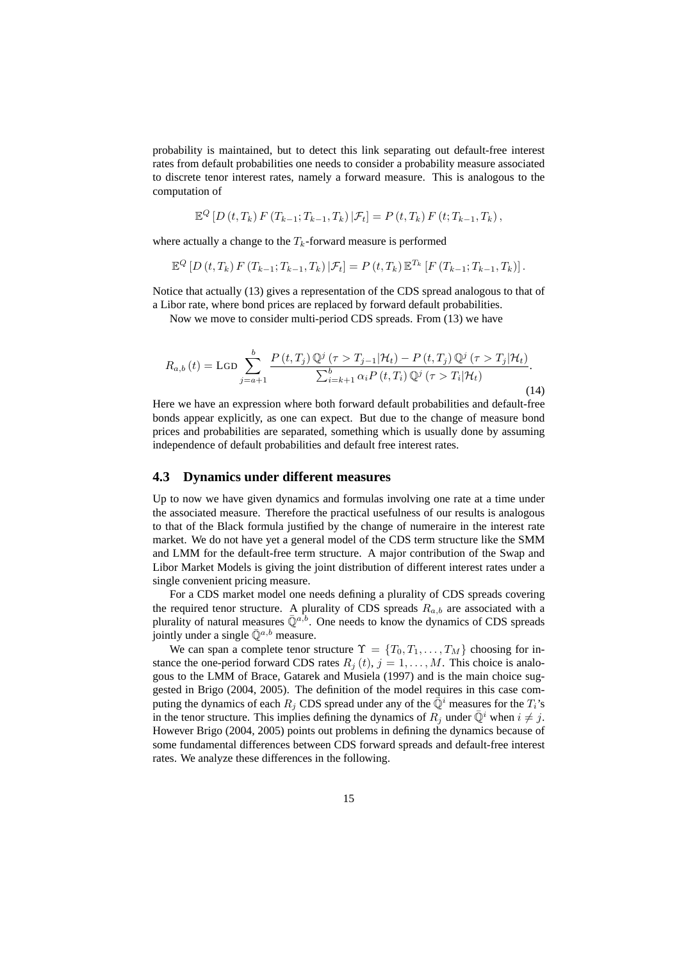probability is maintained, but to detect this link separating out default-free interest rates from default probabilities one needs to consider a probability measure associated to discrete tenor interest rates, namely a forward measure. This is analogous to the computation of

$$
\mathbb{E}^{Q} [D(t, T_k) F(T_{k-1}; T_{k-1}, T_k) | \mathcal{F}_t] = P(t, T_k) F(t; T_{k-1}, T_k),
$$

where actually a change to the  $T_k$ -forward measure is performed

$$
\mathbb{E}^{Q} [D(t, T_k) F(T_{k-1}; T_{k-1}, T_k) | \mathcal{F}_t] = P(t, T_k) \mathbb{E}^{T_k} [F(T_{k-1}; T_{k-1}, T_k)].
$$

Notice that actually (13) gives a representation of the CDS spread analogous to that of a Libor rate, where bond prices are replaced by forward default probabilities.

Now we move to consider multi-period CDS spreads. From (13) we have

$$
R_{a,b}(t) = \text{LGD} \sum_{j=a+1}^{b} \frac{P(t,T_j) \mathbb{Q}^j(\tau > T_{j-1}|\mathcal{H}_t) - P(t,T_j) \mathbb{Q}^j(\tau > T_j|\mathcal{H}_t)}{\sum_{i=k+1}^{b} \alpha_i P(t,T_i) \mathbb{Q}^j(\tau > T_i|\mathcal{H}_t)}.
$$
\n(14)

Here we have an expression where both forward default probabilities and default-free bonds appear explicitly, as one can expect. But due to the change of measure bond prices and probabilities are separated, something which is usually done by assuming independence of default probabilities and default free interest rates.

#### **4.3 Dynamics under different measures**

Up to now we have given dynamics and formulas involving one rate at a time under the associated measure. Therefore the practical usefulness of our results is analogous to that of the Black formula justified by the change of numeraire in the interest rate market. We do not have yet a general model of the CDS term structure like the SMM and LMM for the default-free term structure. A major contribution of the Swap and Libor Market Models is giving the joint distribution of different interest rates under a single convenient pricing measure.

For a CDS market model one needs defining a plurality of CDS spreads covering the required tenor structure. A plurality of CDS spreads  $R_{a,b}$  are associated with a plurality of natural measures  $\overline{Q}^{a,b}$ . One needs to know the dynamics of CDS spreads jointly under a single  $\overline{Q}^{a,b}$  measure.

We can span a complete tenor structure  $\Upsilon = \{T_0, T_1, \ldots, T_M\}$  choosing for instance the one-period forward CDS rates  $R_j(t)$ ,  $j = 1, ..., M$ . This choice is analogous to the LMM of Brace, Gatarek and Musiela (1997) and is the main choice suggested in Brigo (2004, 2005). The definition of the model requires in this case computing the dynamics of each  $R_j$  CDS spread under any of the  $\bar{\mathbb{Q}}^i$  measures for the  $T_i$ 's in the tenor structure. This implies defining the dynamics of  $R_j$  under  $\overline{\mathbb{Q}}^i$  when  $i \neq j$ . However Brigo (2004, 2005) points out problems in defining the dynamics because of some fundamental differences between CDS forward spreads and default-free interest rates. We analyze these differences in the following.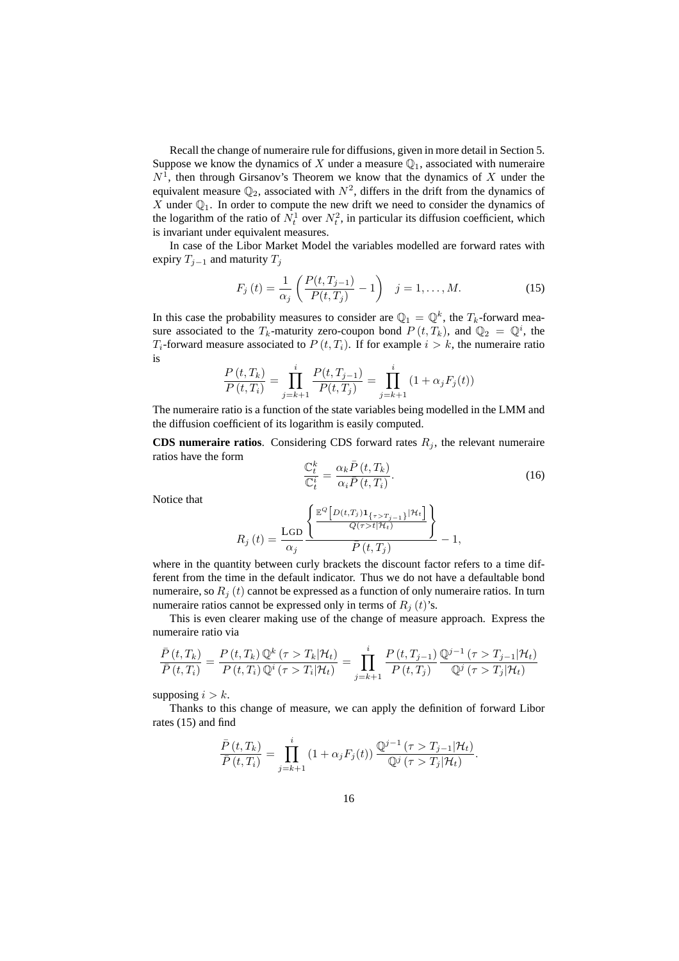Recall the change of numeraire rule for diffusions, given in more detail in Section 5. Suppose we know the dynamics of X under a measure  $\mathbb{Q}_1$ , associated with numeraire  $N<sup>1</sup>$ , then through Girsanov's Theorem we know that the dynamics of X under the equivalent measure  $\mathbb{Q}_2$ , associated with  $N^2$ , differs in the drift from the dynamics of  $X$  under  $\mathbb{Q}_1$ . In order to compute the new drift we need to consider the dynamics of the logarithm of the ratio of  $N_t^1$  over  $N_t^2$ , in particular its diffusion coefficient, which is invariant under equivalent measures.

In case of the Libor Market Model the variables modelled are forward rates with expiry  $T_{j-1}$  and maturity  $T_j$ 

$$
F_j(t) = \frac{1}{\alpha_j} \left( \frac{P(t, T_{j-1})}{P(t, T_j)} - 1 \right) \quad j = 1, ..., M.
$$
 (15)

In this case the probability measures to consider are  $\mathbb{Q}_1 = \mathbb{Q}^k$ , the  $T_k$ -forward measure associated to the  $T_k$ -maturity zero-coupon bond  $P(t,T_k)$ , and  $\mathbb{Q}_2 = \mathbb{Q}^i$ , the  $T_i$ -forward measure associated to  $P(t, T_i)$ . If for example  $i > k$ , the numeraire ratio is

$$
\frac{P(t,T_k)}{P(t,T_i)} = \prod_{j=k+1}^{i} \frac{P(t,T_{j-1})}{P(t,T_j)} = \prod_{j=k+1}^{i} (1 + \alpha_j F_j(t))
$$

The numeraire ratio is a function of the state variables being modelled in the LMM and the diffusion coefficient of its logarithm is easily computed.

**CDS numeraire ratios**. Considering CDS forward rates  $R_j$ , the relevant numeraire ratios have the form  $\mathbb{C}$ 

$$
\frac{\mathbb{C}_t^k}{\mathbb{C}_t^i} = \frac{\alpha_k \bar{P}(t, T_k)}{\alpha_i \bar{P}(t, T_i)}.
$$
\n(16)

Notice that

$$
R_j\left(t\right) = \frac{\text{LGD}}{\alpha_j} \frac{\left\{ \frac{\mathbb{E}^{Q}\left[D(t,T_j)\mathbf{1}_{\{\tau>T_j=1\}}|\mathcal{H}_t\right]}{Q(\tau>t|\mathcal{H}_t)}\right\}}{\bar{P}\left(t,T_j\right)} - 1,
$$

where in the quantity between curly brackets the discount factor refers to a time different from the time in the default indicator. Thus we do not have a defaultable bond numeraire, so  $R_i(t)$  cannot be expressed as a function of only numeraire ratios. In turn numeraire ratios cannot be expressed only in terms of  $R_i(t)$ 's.

This is even clearer making use of the change of measure approach. Express the numeraire ratio via

$$
\frac{\bar{P}(t,T_k)}{\bar{P}(t,T_i)} = \frac{P(t,T_k) \mathbb{Q}^k \left(\tau > T_k | \mathcal{H}_t\right)}{P(t,T_i) \mathbb{Q}^i \left(\tau > T_i | \mathcal{H}_t\right)} = \prod_{j=k+1}^i \frac{P(t,T_{j-1}) \mathbb{Q}^{j-1} \left(\tau > T_{j-1} | \mathcal{H}_t\right)}{P(t,T_j)} \mathbb{Q}^j \left(\tau > T_j | \mathcal{H}_t\right)
$$

supposing  $i > k$ .

Thanks to this change of measure, we can apply the definition of forward Libor rates (15) and find

$$
\frac{\bar{P}(t,T_k)}{\bar{P}(t,T_i)} = \prod_{j=k+1}^i (1+\alpha_j F_j(t)) \frac{\mathbb{Q}^{j-1}(\tau > T_{j-1}|\mathcal{H}_t)}{\mathbb{Q}^j(\tau > T_j|\mathcal{H}_t)}.
$$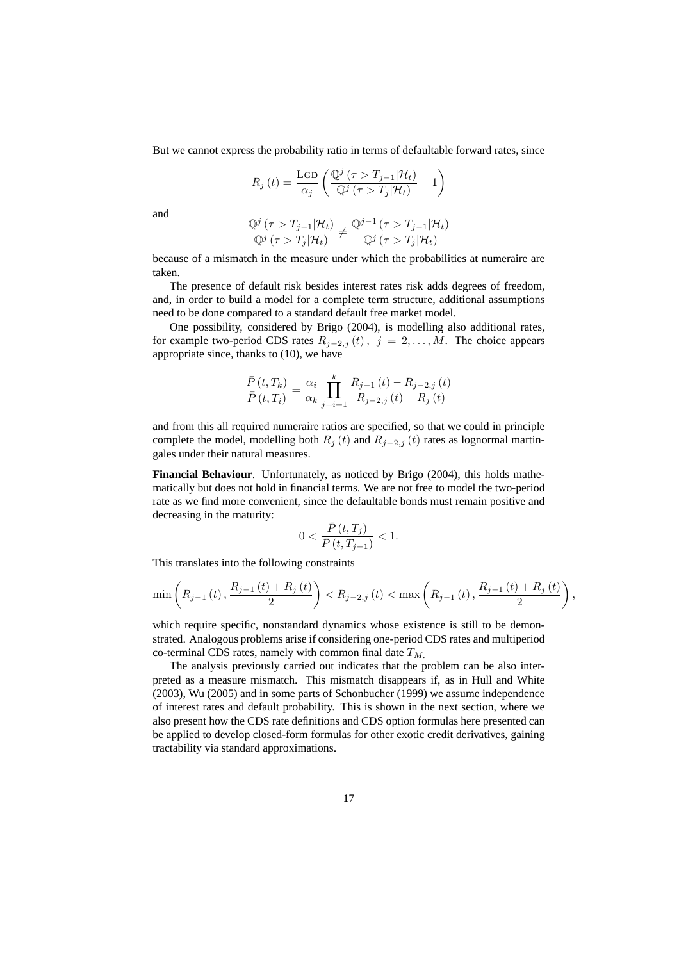But we cannot express the probability ratio in terms of defaultable forward rates, since

$$
R_j(t) = \frac{\text{LGD}}{\alpha_j} \left( \frac{\mathbb{Q}^j \left( \tau > T_{j-1} | \mathcal{H}_t \right)}{\mathbb{Q}^j \left( \tau > T_j | \mathcal{H}_t \right)} - 1 \right)
$$

and

$$
\frac{\mathbb{Q}^j \left(\tau > T_{j-1} | \mathcal{H}_t\right)}{\mathbb{Q}^j \left(\tau > T_j | \mathcal{H}_t\right)} \neq \frac{\mathbb{Q}^{j-1} \left(\tau > T_{j-1} | \mathcal{H}_t\right)}{\mathbb{Q}^j \left(\tau > T_j | \mathcal{H}_t\right)}
$$

because of a mismatch in the measure under which the probabilities at numeraire are taken.

The presence of default risk besides interest rates risk adds degrees of freedom, and, in order to build a model for a complete term structure, additional assumptions need to be done compared to a standard default free market model.

One possibility, considered by Brigo (2004), is modelling also additional rates, for example two-period CDS rates  $R_{j-2,j} (t)$ ,  $j = 2,..., M$ . The choice appears appropriate since, thanks to (10), we have

$$
\frac{\bar{P}(t,T_k)}{\bar{P}(t,T_i)} = \frac{\alpha_i}{\alpha_k} \prod_{j=i+1}^k \frac{R_{j-1}(t) - R_{j-2,j}(t)}{R_{j-2,j}(t) - R_j(t)}
$$

and from this all required numeraire ratios are specified, so that we could in principle complete the model, modelling both  $R_j(t)$  and  $R_{j-2,j}(t)$  rates as lognormal martingales under their natural measures.

**Financial Behaviour**. Unfortunately, as noticed by Brigo (2004), this holds mathematically but does not hold in financial terms. We are not free to model the two-period rate as we find more convenient, since the defaultable bonds must remain positive and decreasing in the maturity:

$$
0<\frac{\bar{P}\left(t,T_j\right)}{\bar{P}\left(t,T_{j-1}\right)}<1.
$$

This translates into the following constraints

$$
\min\left(R_{j-1}\left(t\right), \frac{R_{j-1}\left(t\right) + R_{j}\left(t\right)}{2}\right) < R_{j-2,j}\left(t\right) < \max\left(R_{j-1}\left(t\right), \frac{R_{j-1}\left(t\right) + R_{j}\left(t\right)}{2}\right)
$$

,

which require specific, nonstandard dynamics whose existence is still to be demonstrated. Analogous problems arise if considering one-period CDS rates and multiperiod co-terminal CDS rates, namely with common final date  $T_M$ .

The analysis previously carried out indicates that the problem can be also interpreted as a measure mismatch. This mismatch disappears if, as in Hull and White (2003), Wu (2005) and in some parts of Schonbucher (1999) we assume independence of interest rates and default probability. This is shown in the next section, where we also present how the CDS rate definitions and CDS option formulas here presented can be applied to develop closed-form formulas for other exotic credit derivatives, gaining tractability via standard approximations.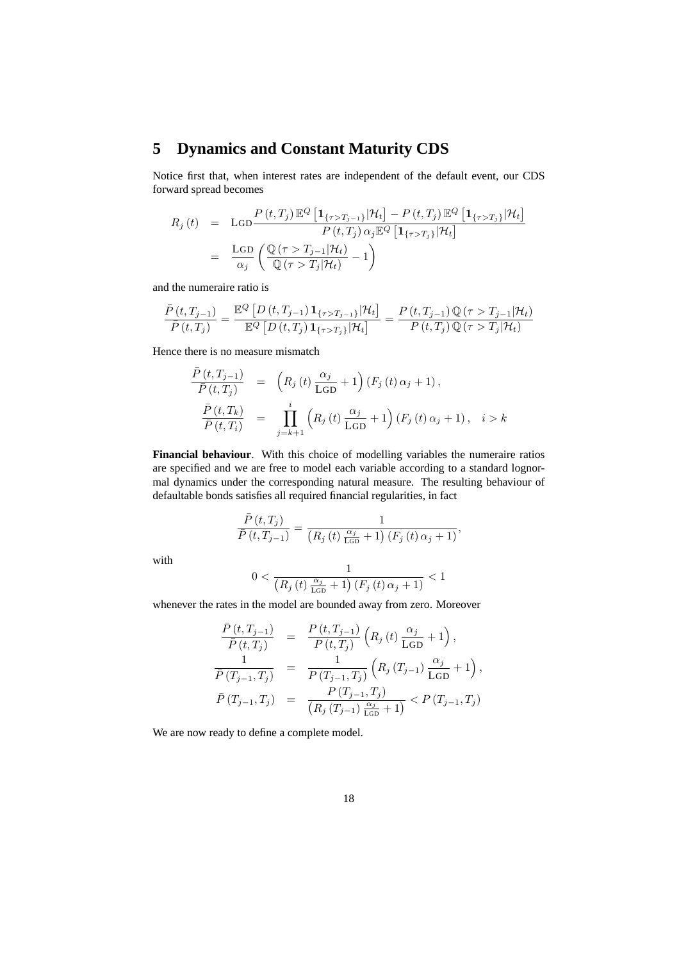# **5 Dynamics and Constant Maturity CDS**

Notice first that, when interest rates are independent of the default event, our CDS forward spread becomes

$$
R_j(t) = \text{LGD}\frac{P(t,T_j) \mathbb{E}^Q \left[ \mathbf{1}_{\{\tau > T_{j-1}\}} | \mathcal{H}_t \right] - P(t,T_j) \mathbb{E}^Q \left[ \mathbf{1}_{\{\tau > T_j\}} | \mathcal{H}_t \right]}{P(t,T_j) \alpha_j \mathbb{E}^Q \left[ \mathbf{1}_{\{\tau > T_j\}} | \mathcal{H}_t \right]}
$$
  
= 
$$
\frac{\text{LGD}}{\alpha_j} \left( \frac{\mathbb{Q}(\tau > T_{j-1} | \mathcal{H}_t)}{\mathbb{Q}(\tau > T_j | \mathcal{H}_t)} - 1 \right)
$$

and the numeraire ratio is

$$
\frac{\bar{P}(t,T_{j-1})}{\bar{P}(t,T_j)} = \frac{\mathbb{E}^Q \left[ D(t,T_{j-1}) \mathbf{1}_{\{\tau > T_{j-1}\}} | \mathcal{H}_t \right]}{\mathbb{E}^Q \left[ D(t,T_j) \mathbf{1}_{\{\tau > T_j\}} | \mathcal{H}_t \right]} = \frac{P(t,T_{j-1}) \mathbb{Q}(\tau > T_{j-1} | \mathcal{H}_t)}{P(t,T_j) \mathbb{Q}(\tau > T_j | \mathcal{H}_t)}
$$

Hence there is no measure mismatch

$$
\frac{\bar{P}(t, T_{j-1})}{\bar{P}(t, T_j)} = \left(R_j(t) \frac{\alpha_j}{\text{LGD}} + 1\right) (F_j(t) \alpha_j + 1),
$$
\n
$$
\frac{\bar{P}(t, T_k)}{\bar{P}(t, T_i)} = \prod_{j=k+1}^i \left(R_j(t) \frac{\alpha_j}{\text{LGD}} + 1\right) (F_j(t) \alpha_j + 1), \quad i > k
$$

**Financial behaviour**. With this choice of modelling variables the numeraire ratios are specified and we are free to model each variable according to a standard lognormal dynamics under the corresponding natural measure. The resulting behaviour of defaultable bonds satisfies all required financial regularities, in fact

$$
\frac{\bar{P}(t,T_j)}{\bar{P}(t,T_{j-1})} = \frac{1}{\left(R_j\left(t\right)\frac{\alpha_j}{\text{Lop}} + 1\right)\left(F_j\left(t\right)\alpha_j + 1\right)},
$$

with

$$
0 < \frac{1}{\left(R_j\left(t\right)\frac{\alpha_j}{\text{Lop}} + 1\right)\left(F_j\left(t\right)\alpha_j + 1\right)} < 1
$$

whenever the rates in the model are bounded away from zero. Moreover

$$
\frac{\bar{P}(t,T_{j-1})}{\bar{P}(t,T_j)} = \frac{P(t,T_{j-1})}{P(t,T_j)} \left(R_j(t)\frac{\alpha_j}{\text{LGD}}+1\right),
$$
\n
$$
\frac{1}{\bar{P}(T_{j-1},T_j)} = \frac{1}{P(T_{j-1},T_j)} \left(R_j(T_{j-1})\frac{\alpha_j}{\text{LGD}}+1\right),
$$
\n
$$
\bar{P}(T_{j-1},T_j) = \frac{P(T_{j-1},T_j)}{\left(R_j(T_{j-1})\frac{\alpha_j}{\text{LGD}}+1\right)} < P(T_{j-1},T_j)
$$

We are now ready to define a complete model.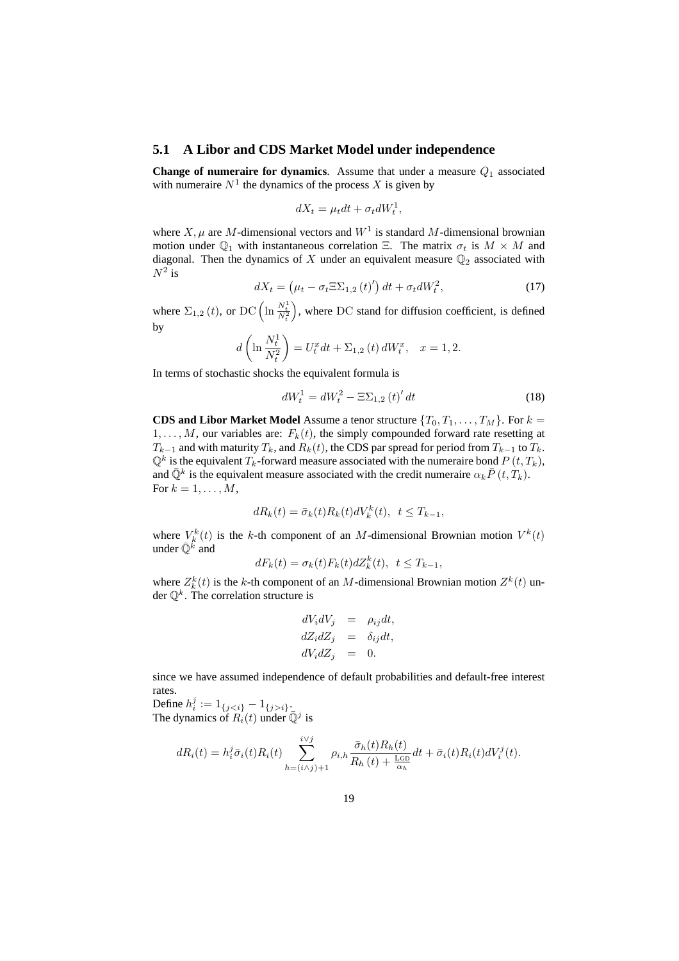#### **5.1 A Libor and CDS Market Model under independence**

**Change of numeraire for dynamics**. Assume that under a measure  $Q_1$  associated with numeraire  $N<sup>1</sup>$  the dynamics of the process X is given by

$$
dX_t = \mu_t dt + \sigma_t dW_t^1,
$$

where  $X, \mu$  are M-dimensional vectors and  $W<sup>1</sup>$  is standard M-dimensional brownian motion under  $\mathbb{Q}_1$  with instantaneous correlation Ξ. The matrix  $\sigma_t$  is  $M \times M$  and diagonal. Then the dynamics of  $X$  under an equivalent measure  $\mathbb{Q}_2$  associated with  $N^2$  is ¡ ¢

$$
dX_t = \left(\mu_t - \sigma_t \Xi \Sigma_{1,2}(t)'\right) dt + \sigma_t dW_t^2, \qquad (17)
$$

where  $\Sigma_{1,2} (t)$ , or DC  $\left( \ln \frac{N_t^1}{N_t^2} \right)$ , where DC stand for diffusion coefficient, is defined by  $\overline{a}$  $\mathbf{r}$ 

$$
d\left(\ln \frac{N_t^1}{N_t^2}\right) = U_t^x dt + \Sigma_{1,2}(t) dW_t^x, \quad x = 1,2.
$$

In terms of stochastic shocks the equivalent formula is

$$
dW_t^1 = dW_t^2 - \Xi \Sigma_{1,2}(t)' dt
$$
\n(18)

**CDS and Libor Market Model** Assume a tenor structure  $\{T_0, T_1, \ldots, T_M\}$ . For  $k =$  $1, \ldots, M$ , our variables are:  $F_k(t)$ , the simply compounded forward rate resetting at  $T_{k-1}$  and with maturity  $T_k$ , and  $R_k(t)$ , the CDS par spread for period from  $T_{k-1}$  to  $T_k$ .  $\mathbb{Q}^k$  is the equivalent  $T_k$ -forward measure associated with the numeraire bond  $P(t,T_k)$ , and  $\bar{\mathbb{Q}}^k$  is the equivalent measure associated with the credit numeraire  $\alpha_k \bar{P}(t, T_k)$ . For  $k = 1, \ldots, M$ ,

$$
dR_k(t) = \bar{\sigma}_k(t)R_k(t)dV_k^k(t), \ t \le T_{k-1},
$$

where  $V_k^k(t)$  is the k-th component of an M-dimensional Brownian motion  $V^k(t)$ under  $\bar{\mathbb{Q}}^k$  and

$$
dF_k(t) = \sigma_k(t)F_k(t)dZ_k^k(t), \quad t \le T_{k-1},
$$

where  $Z_k^k(t)$  is the k-th component of an M-dimensional Brownian motion  $Z^k(t)$  under  $\mathbb{Q}^k$ . The correlation structure is

$$
dV_i dV_j = \rho_{ij} dt,
$$
  
\n
$$
dZ_i dZ_j = \delta_{ij} dt,
$$
  
\n
$$
dV_i dZ_j = 0.
$$

since we have assumed independence of default probabilities and default-free interest rates.

Define  $h_i^j := 1_{\{j < i\}} - 1_{\{j > i\}}.$ The dynamics of  $\overrightarrow{R_i}(t)$  under  $\overline{Q}^j$  is

$$
dR_i(t) = h_i^j \bar{\sigma}_i(t) R_i(t) \sum_{h=(i \wedge j)+1}^{i \vee j} \rho_{i,h} \frac{\bar{\sigma}_h(t) R_h(t)}{R_h(t) + \frac{\text{Log}}{\alpha_h}} dt + \bar{\sigma}_i(t) R_i(t) dV_i^j(t).
$$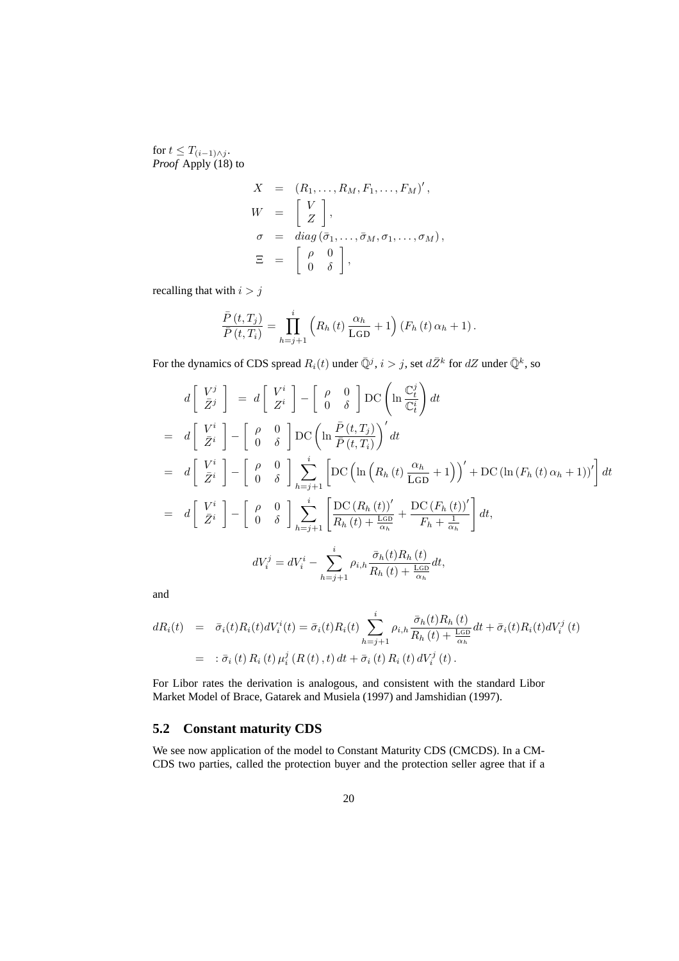for  $t \leq T_{(i-1)\wedge j}$ . *Proof* Apply (18) to

$$
X = (R_1, \dots, R_M, F_1, \dots, F_M)',
$$
  
\n
$$
W = \begin{bmatrix} V \\ Z \end{bmatrix},
$$
  
\n
$$
\sigma = diag(\bar{\sigma}_1, \dots, \bar{\sigma}_M, \sigma_1, \dots, \sigma_M),
$$
  
\n
$$
\Xi = \begin{bmatrix} \rho & 0 \\ 0 & \delta \end{bmatrix},
$$

recalling that with  $i > j$ 

$$
\frac{\bar{P}(t,T_j)}{\bar{P}(t,T_i)} = \prod_{h=j+1}^{i} \left( R_h(t) \frac{\alpha_h}{\text{LGD}} + 1 \right) \left( F_h(t) \alpha_h + 1 \right).
$$

For the dynamics of CDS spread  $R_i(t)$  under  $\bar{\mathbb{Q}}^j$ ,  $i > j$ , set  $d\bar{Z}^k$  for  $dZ$  under  $\bar{\mathbb{Q}}^k$ , so

$$
d\begin{bmatrix} V^j \\ \bar{Z}^j \end{bmatrix} = d\begin{bmatrix} V^i \\ Z^i \end{bmatrix} - \begin{bmatrix} \rho & 0 \\ 0 & \delta \end{bmatrix} \text{DC} \left( \ln \frac{\mathbb{C}_t^j}{\mathbb{C}_t^i} \right) dt
$$
  
\n
$$
= d\begin{bmatrix} V^i \\ \bar{Z}^i \end{bmatrix} - \begin{bmatrix} \rho & 0 \\ 0 & \delta \end{bmatrix} \text{DC} \left( \ln \frac{\bar{P}(t, T_j)}{\bar{P}(t, T_i)} \right)' dt
$$
  
\n
$$
= d\begin{bmatrix} V^i \\ \bar{Z}^i \end{bmatrix} - \begin{bmatrix} \rho & 0 \\ 0 & \delta \end{bmatrix} \sum_{h=j+1}^i \left[ \text{DC} \left( \ln \left( R_h(t) \frac{\alpha_h}{\text{LGD}} + 1 \right) \right)' + \text{DC} \left( \ln \left( F_h(t) \alpha_h + 1 \right) \right)' \right] dt
$$
  
\n
$$
= d\begin{bmatrix} V^i \\ \bar{Z}^i \end{bmatrix} - \begin{bmatrix} \rho & 0 \\ 0 & \delta \end{bmatrix} \sum_{h=j+1}^i \left[ \frac{\text{DC} \left( R_h(t) \right)'}{R_h(t) + \frac{\text{LO}}{\alpha_h}} + \frac{\text{DC} \left( F_h(t) \right)'}{F_h + \frac{1}{\alpha_h}} \right] dt,
$$
  
\n
$$
dV_i^j = dV_i^i - \sum_{h=j+1}^i \rho_{i,h} \frac{\bar{\sigma}_h(t) R_h(t)}{R_h(t) + \frac{\text{LO}}{\alpha_h}} dt,
$$

and

$$
dR_i(t) = \bar{\sigma}_i(t)R_i(t)dV_i^i(t) = \bar{\sigma}_i(t)R_i(t)\sum_{h=j+1}^i \rho_{i,h}\frac{\bar{\sigma}_h(t)R_h(t)}{R_h(t) + \frac{\text{LGD}}{\alpha_h}}dt + \bar{\sigma}_i(t)R_i(t)dV_i^j(t)
$$
  
=  $\bar{\sigma}_i(t)R_i(t)\mu_i^j(R(t),t)dt + \bar{\sigma}_i(t)R_i(t)dV_i^j(t).$ 

For Libor rates the derivation is analogous, and consistent with the standard Libor Market Model of Brace, Gatarek and Musiela (1997) and Jamshidian (1997).

### **5.2 Constant maturity CDS**

We see now application of the model to Constant Maturity CDS (CMCDS). In a CM-CDS two parties, called the protection buyer and the protection seller agree that if a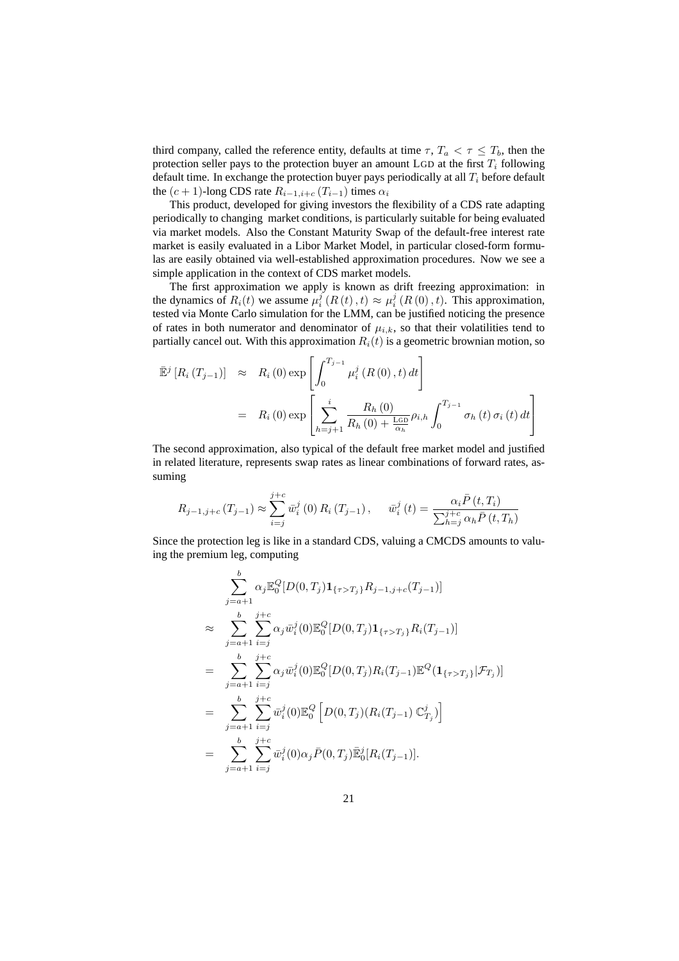third company, called the reference entity, defaults at time  $\tau$ ,  $T_a < \tau \leq T_b$ , then the protection seller pays to the protection buyer an amount LGD at the first  $T_i$  following default time. In exchange the protection buyer pays periodically at all  $T_i$  before default the  $(c + 1)$ -long CDS rate  $R_{i-1,i+c}$  ( $T_{i-1}$ ) times  $\alpha_i$ 

This product, developed for giving investors the flexibility of a CDS rate adapting periodically to changing market conditions, is particularly suitable for being evaluated via market models. Also the Constant Maturity Swap of the default-free interest rate market is easily evaluated in a Libor Market Model, in particular closed-form formulas are easily obtained via well-established approximation procedures. Now we see a simple application in the context of CDS market models.

The first approximation we apply is known as drift freezing approximation: in the dynamics of  $R_i(t)$  we assume  $\mu_i^j(R(t), t) \approx \mu_i^j(R(0), t)$ . This approximation, tested via Monte Carlo simulation for the LMM, can be justified noticing the presence of rates in both numerator and denominator of  $\mu_{i,k}$ , so that their volatilities tend to partially cancel out. With this approximation  $R_i(t)$  is a geometric brownian motion, so

$$
\begin{aligned}\n\bar{\mathbb{E}}^{j} \left[ R_{i} \left( T_{j-1} \right) \right] &\approx & R_{i} \left( 0 \right) \exp \left[ \int_{0}^{T_{j-1}} \mu_{i}^{j} \left( R \left( 0 \right) , t \right) dt \right] \\
&= & R_{i} \left( 0 \right) \exp \left[ \sum_{h=j+1}^{i} \frac{R_{h} \left( 0 \right)}{R_{h} \left( 0 \right) + \frac{\text{LGD}}{\alpha_{h}}} \rho_{i,h} \int_{0}^{T_{j-1}} \sigma_{h} \left( t \right) \sigma_{i} \left( t \right) dt \right]\n\end{aligned}
$$

The second approximation, also typical of the default free market model and justified in related literature, represents swap rates as linear combinations of forward rates, assuming

$$
R_{j-1,j+c} (T_{j-1}) \approx \sum_{i=j}^{j+c} \bar{w}_i^j (0) R_i (T_{j-1}), \quad \bar{w}_i^j (t) = \frac{\alpha_i \bar{P}(t, T_i)}{\sum_{h=j}^{j+c} \alpha_h \bar{P}(t, T_h)}
$$

Since the protection leg is like in a standard CDS, valuing a CMCDS amounts to valuing the premium leg, computing

$$
\sum_{j=a+1}^{b} \alpha_{j} \mathbb{E}_{0}^{Q} [D(0, T_{j}) \mathbf{1}_{\{\tau > T_{j}\}} R_{j-1, j+c}(T_{j-1})]
$$
\n
$$
\approx \sum_{j=a+1}^{b} \sum_{i=j}^{j+c} \alpha_{j} \bar{w}_{i}^{j} (0) \mathbb{E}_{0}^{Q} [D(0, T_{j}) \mathbf{1}_{\{\tau > T_{j}\}} R_{i}(T_{j-1})]
$$
\n
$$
= \sum_{j=a+1}^{b} \sum_{i=j}^{j+c} \alpha_{j} \bar{w}_{i}^{j} (0) \mathbb{E}_{0}^{Q} [D(0, T_{j}) R_{i}(T_{j-1}) \mathbb{E}^{Q} (\mathbf{1}_{\{\tau > T_{j}\}} | \mathcal{F}_{T_{j}})]
$$
\n
$$
= \sum_{j=a+1}^{b} \sum_{i=j}^{j+c} \bar{w}_{i}^{j} (0) \mathbb{E}_{0}^{Q} [D(0, T_{j}) (R_{i}(T_{j-1}) \mathbb{C}_{T_{j}}^{j})]
$$
\n
$$
= \sum_{j=a+1}^{b} \sum_{i=j}^{j+c} \bar{w}_{i}^{j} (0) \alpha_{j} \bar{P}(0, T_{j}) \mathbb{E}_{0}^{j} [R_{i}(T_{j-1})].
$$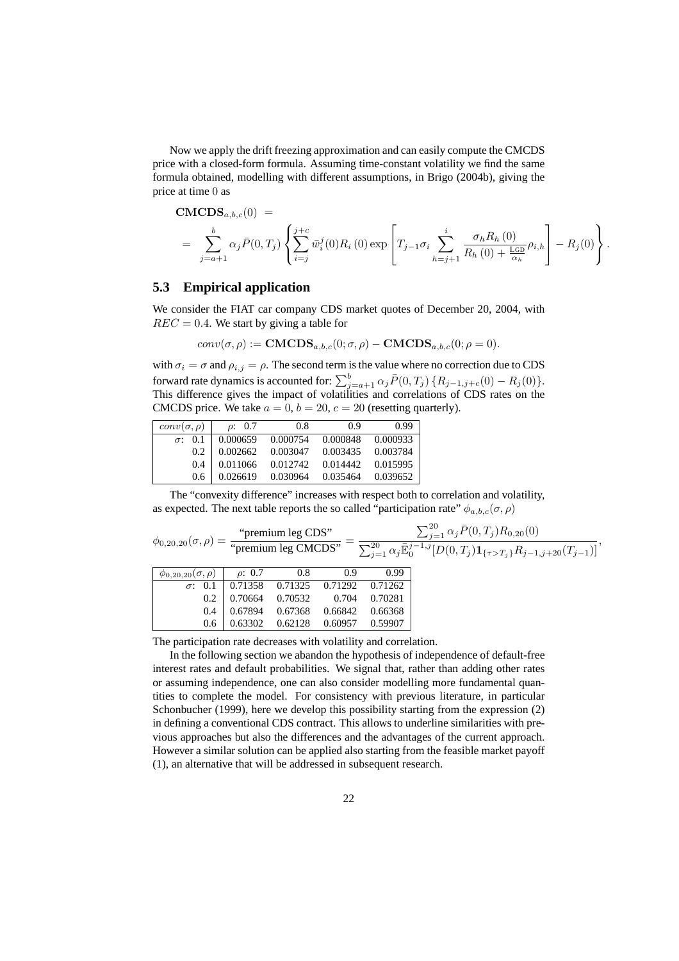Now we apply the drift freezing approximation and can easily compute the CMCDS price with a closed-form formula. Assuming time-constant volatility we find the same formula obtained, modelling with different assumptions, in Brigo (2004b), giving the price at time 0 as

CMCDS<sub>a,b,c</sub>(0) =  
\n
$$
= \sum_{j=a+1}^{b} \alpha_j \bar{P}(0,T_j) \left\{ \sum_{i=j}^{j+c} \bar{w}_i^j(0) R_i(0) \exp\left[T_{j-1} \sigma_i \sum_{h=j+1}^i \frac{\sigma_h R_h(0)}{R_h(0) + \frac{\text{LGD}}{\alpha_h}} \rho_{i,h}\right] - R_j(0) \right\}
$$

.

### **5.3 Empirical application**

We consider the FIAT car company CDS market quotes of December 20, 2004, with  $REC = 0.4$ . We start by giving a table for

$$
conv(\sigma, \rho) := \mathbf{CMCDS}_{a,b,c}(0; \sigma, \rho) - \mathbf{CMCDS}_{a,b,c}(0; \rho = 0).
$$

with  $\sigma_i = \sigma$  and  $\rho_{i,j} = \rho$ . The second term is the value where no correction due to CDS forward rate dynamics is accounted for:  $\sum_{j=a+1}^{b} \alpha_j \bar{P}(0,T_j) \{R_{j-1,j+c}(0) - R_j(0)\}.$ This difference gives the impact of volatilities and correlations of CDS rates on the CMCDS price. We take  $a = 0$ ,  $b = 20$ ,  $c = 20$  (resetting quarterly).

| $conv(\sigma, \rho)$ | $\rho$ : 0.7 | 0.8      | 0.9      | 0.99     |
|----------------------|--------------|----------|----------|----------|
| 0.1<br>$\sigma$ :    | 0.000659     | 0.000754 | 0.000848 | 0.000933 |
| 0.2                  | 0.002662     | 0.003047 | 0.003435 | 0.003784 |
| 0.4                  | 0.011066     | 0.012742 | 0.014442 | 0.015995 |
| 0.6                  | 0.026619     | 0.030964 | 0.035464 | 0.039652 |

The "convexity difference" increases with respect both to correlation and volatility, as expected. The next table reports the so called "participation rate"  $\phi_{a,b,c}(\sigma,\rho)$ 

| $\phi_{0,20,20}(\sigma,\rho) = \frac{\text{``premium leg CDS''}}{\text{``premium leg CMCDS''}} = \frac{1}{2}$ |             |         |         |         | $\sum_{i=1}^{20} \alpha_j \bar{P}(0,T_j) R_{0,20}(0)$<br>$\sum_{i=1}^{20} \alpha_j \bar{\mathbb{E}}_0^{j-1,j} [D(0,T_j) \mathbf{1}_{\{\tau>T_j\}} R_{j-1,j+20}(T_{j-1})]$ |
|---------------------------------------------------------------------------------------------------------------|-------------|---------|---------|---------|---------------------------------------------------------------------------------------------------------------------------------------------------------------------------|
| $\phi_{0,20,20}(\sigma,\rho)$                                                                                 | $\rho: 0.7$ | $0.8\,$ | 0.9     | 0.99    |                                                                                                                                                                           |
| $\sigma$ : 0.1                                                                                                | 0.71358     | 0.71325 | 0.71292 | 0.71262 |                                                                                                                                                                           |
| 0.2                                                                                                           | 0.70664     | 0.70532 | 0.704   | 0.70281 |                                                                                                                                                                           |
| 0.4                                                                                                           | 0.67894     | 0.67368 | 0.66842 | 0.66368 |                                                                                                                                                                           |
| 0.6                                                                                                           | 0.63302     | 0.62128 | 0.60957 | 0.59907 |                                                                                                                                                                           |
|                                                                                                               |             |         |         |         |                                                                                                                                                                           |

The participation rate decreases with volatility and correlation.

In the following section we abandon the hypothesis of independence of default-free interest rates and default probabilities. We signal that, rather than adding other rates or assuming independence, one can also consider modelling more fundamental quantities to complete the model. For consistency with previous literature, in particular Schonbucher (1999), here we develop this possibility starting from the expression (2) in defining a conventional CDS contract. This allows to underline similarities with previous approaches but also the differences and the advantages of the current approach. However a similar solution can be applied also starting from the feasible market payoff (1), an alternative that will be addressed in subsequent research.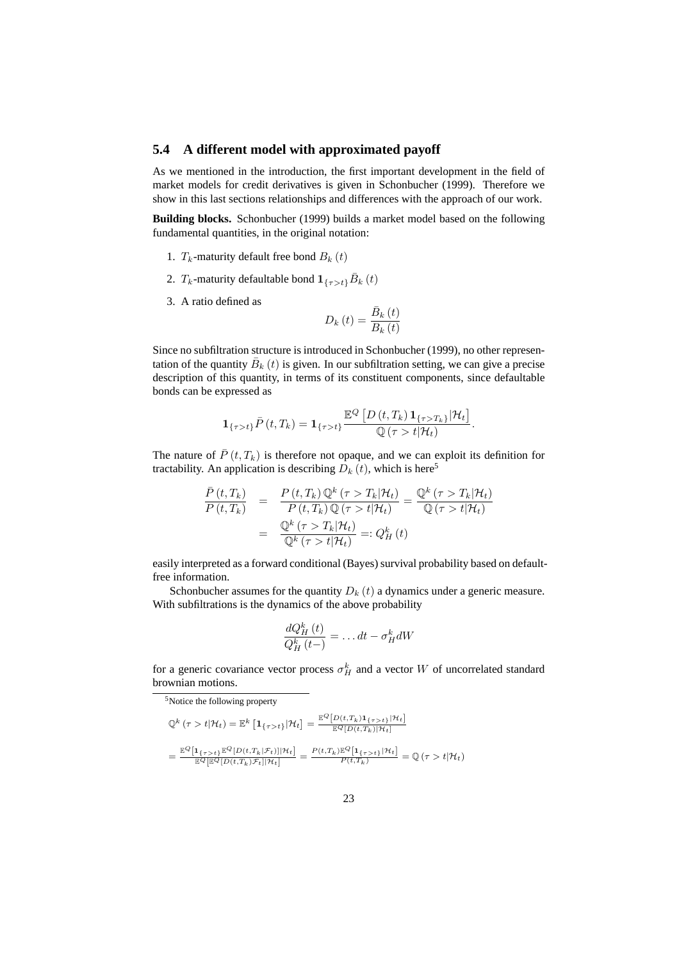### **5.4 A different model with approximated payoff**

As we mentioned in the introduction, the first important development in the field of market models for credit derivatives is given in Schonbucher (1999). Therefore we show in this last sections relationships and differences with the approach of our work.

**Building blocks.** Schonbucher (1999) builds a market model based on the following fundamental quantities, in the original notation:

- 1.  $T_k$ -maturity default free bond  $B_k(t)$
- 2.  $T_k$ -maturity defaultable bond  $1_{\{\tau > t\}}\bar{B}_k(t)$
- 3. A ratio defined as

$$
D_{k}\left(t\right) = \frac{\bar{B}_{k}\left(t\right)}{B_{k}\left(t\right)}
$$

Since no subfiltration structure is introduced in Schonbucher (1999), no other representation of the quantity  $\bar{B}_k(t)$  is given. In our subfiltration setting, we can give a precise description of this quantity, in terms of its constituent components, since defaultable bonds can be expressed as

$$
\mathbf{1}_{\{\tau>t\}}\bar{P}(t,T_k) = \mathbf{1}_{\{\tau>t\}} \frac{\mathbb{E}^Q \left[ D(t,T_k) \mathbf{1}_{\{\tau>T_k\}} | \mathcal{H}_t \right]}{\mathbb{Q}(\tau > t | \mathcal{H}_t)}
$$

.

The nature of  $\bar{P}(t, T_k)$  is therefore not opaque, and we can exploit its definition for tractability. An application is describing  $\overline{D}_k(t)$ , which is here<sup>5</sup>

$$
\frac{\bar{P}(t,T_k)}{P(t,T_k)} = \frac{P(t,T_k)\mathbb{Q}^k(\tau>T_k|\mathcal{H}_t)}{P(t,T_k)\mathbb{Q}(\tau>t|\mathcal{H}_t)} = \frac{\mathbb{Q}^k(\tau>T_k|\mathcal{H}_t)}{\mathbb{Q}(\tau>t|\mathcal{H}_t)}
$$
\n
$$
= \frac{\mathbb{Q}^k(\tau>T_k|\mathcal{H}_t)}{\mathbb{Q}^k(\tau>t|\mathcal{H}_t)} =: Q_H^k(t)
$$

easily interpreted as a forward conditional (Bayes) survival probability based on defaultfree information.

Schonbucher assumes for the quantity  $D_k(t)$  a dynamics under a generic measure. With subfiltrations is the dynamics of the above probability

$$
\frac{dQ_H^k(t)}{Q_H^k(t-)} = \dots dt - \sigma_H^k dW
$$

for a generic covariance vector process  $\sigma_H^k$  and a vector W of uncorrelated standard brownian motions.

<sup>5</sup>Notice the following property

$$
\begin{split} \mathbb{Q}^{k}\left(\tau>t|\mathcal{H}_{t}\right) &= \mathbb{E}^{k}\left[\mathbf{1}_{\{\tau>t\}}|\mathcal{H}_{t}\right] = \frac{\mathbb{E}^{Q}\left[D(t,T_{k})\mathbf{1}_{\{\tau>t\}}|\mathcal{H}_{t}\right]}{\mathbb{E}^{Q}\left[D(t,T_{k})|\mathcal{H}_{t}\right]} \\ &= \frac{\mathbb{E}^{Q}\left[\mathbf{1}_{\{\tau>t\}}\mathbb{E}^{Q}\left[D(t,T_{k}|\mathcal{F}_{t})\right]|\mathcal{H}_{t}\right]}{\mathbb{E}^{Q}\left[\mathbb{E}^{Q}\left[D(t,T_{k})\mathcal{F}_{t}\right]|\mathcal{H}_{t}\right]} = \frac{P(t,T_{k})\mathbb{E}^{Q}\left[\mathbf{1}_{\{\tau>t\}}\right]|\mathcal{H}_{t}\right]}{P(t,T_{k})} = \mathbb{Q}\left(\tau>t|\mathcal{H}_{t}\right) \end{split}
$$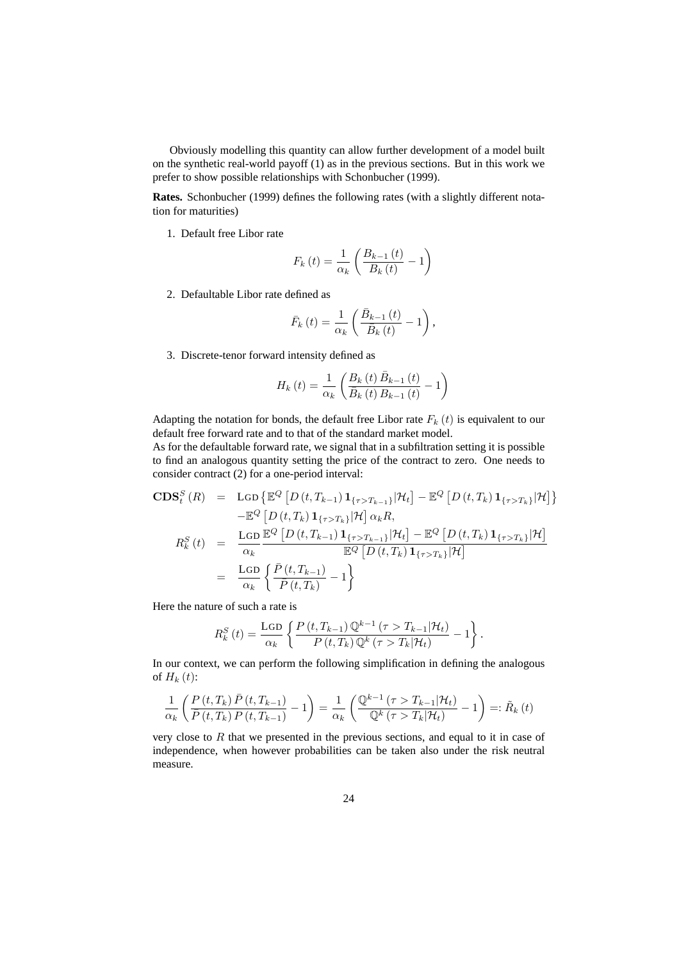Obviously modelling this quantity can allow further development of a model built on the synthetic real-world payoff (1) as in the previous sections. But in this work we prefer to show possible relationships with Schonbucher (1999).

**Rates.** Schonbucher (1999) defines the following rates (with a slightly different notation for maturities)

1. Default free Libor rate

$$
F_k(t) = \frac{1}{\alpha_k} \left( \frac{B_{k-1}(t)}{B_k(t)} - 1 \right)
$$

2. Defaultable Libor rate defined as

$$
\bar{F}_k(t) = \frac{1}{\alpha_k} \left( \frac{\bar{B}_{k-1}(t)}{\bar{B}_k(t)} - 1 \right),\,
$$

3. Discrete-tenor forward intensity defined as

$$
H_{k}\left(t\right)=\frac{1}{\alpha_{k}}\left(\frac{B_{k}\left(t\right)\bar{B}_{k-1}\left(t\right)}{\bar{B}_{k}\left(t\right)B_{k-1}\left(t\right)}-1\right)
$$

Adapting the notation for bonds, the default free Libor rate  $F_k(t)$  is equivalent to our default free forward rate and to that of the standard market model.

As for the defaultable forward rate, we signal that in a subfiltration setting it is possible to find an analogous quantity setting the price of the contract to zero. One needs to consider contract (2) for a one-period interval:

$$
\begin{array}{rcl}\n\text{CDS}_{t}^{S}\left(R\right) & = & \text{LGD}\left\{\mathbb{E}^{Q}\left[D\left(t,T_{k-1}\right)\mathbf{1}_{\{\tau>T_{k-1}\}}|\mathcal{H}_{t}\right] - \mathbb{E}^{Q}\left[D\left(t,T_{k}\right)\mathbf{1}_{\{\tau>T_{k}\}}|\mathcal{H}\right]\right\} \\
 & - \mathbb{E}^{Q}\left[D\left(t,T_{k}\right)\mathbf{1}_{\{\tau>T_{k}\}}|\mathcal{H}\right]\alpha_{k}R, \\
R_{k}^{S}\left(t\right) & = & \frac{\text{LGD}}{\alpha_{k}}\frac{\mathbb{E}^{Q}\left[D\left(t,T_{k-1}\right)\mathbf{1}_{\{\tau>T_{k-1}\}}|\mathcal{H}_{t}\right] - \mathbb{E}^{Q}\left[D\left(t,T_{k}\right)\mathbf{1}_{\{\tau>T_{k}\}}|\mathcal{H}\right]}{\mathbb{E}^{Q}\left[D\left(t,T_{k}\right)\mathbf{1}_{\{\tau>T_{k}\}}|\mathcal{H}\right]} \\
 & = & \frac{\text{LGD}}{\alpha_{k}}\left\{\frac{\bar{P}\left(t,T_{k-1}\right)}{\bar{P}\left(t,T_{k}\right)} - 1\right\}\n\end{array}
$$

Here the nature of such a rate is

$$
R_k^S(t) = \frac{\text{LGD}}{\alpha_k} \left\{ \frac{P(t, T_{k-1}) \mathbb{Q}^{k-1}(\tau > T_{k-1}|\mathcal{H}_t)}{P(t, T_k) \mathbb{Q}^k(\tau > T_k|\mathcal{H}_t)} - 1 \right\}.
$$

In our context, we can perform the following simplification in defining the analogous of  $H_k(t)$ :

$$
\frac{1}{\alpha_k} \left( \frac{P(t, T_k) \bar{P}(t, T_{k-1})}{\bar{P}(t, T_k) P(t, T_{k-1})} - 1 \right) = \frac{1}{\alpha_k} \left( \frac{\mathbb{Q}^{k-1} \left( \tau > T_{k-1} | \mathcal{H}_t \right)}{\mathbb{Q}^k \left( \tau > T_k | \mathcal{H}_t \right)} - 1 \right) =: \tilde{R}_k \left( t \right)
$$

very close to  $R$  that we presented in the previous sections, and equal to it in case of independence, when however probabilities can be taken also under the risk neutral measure.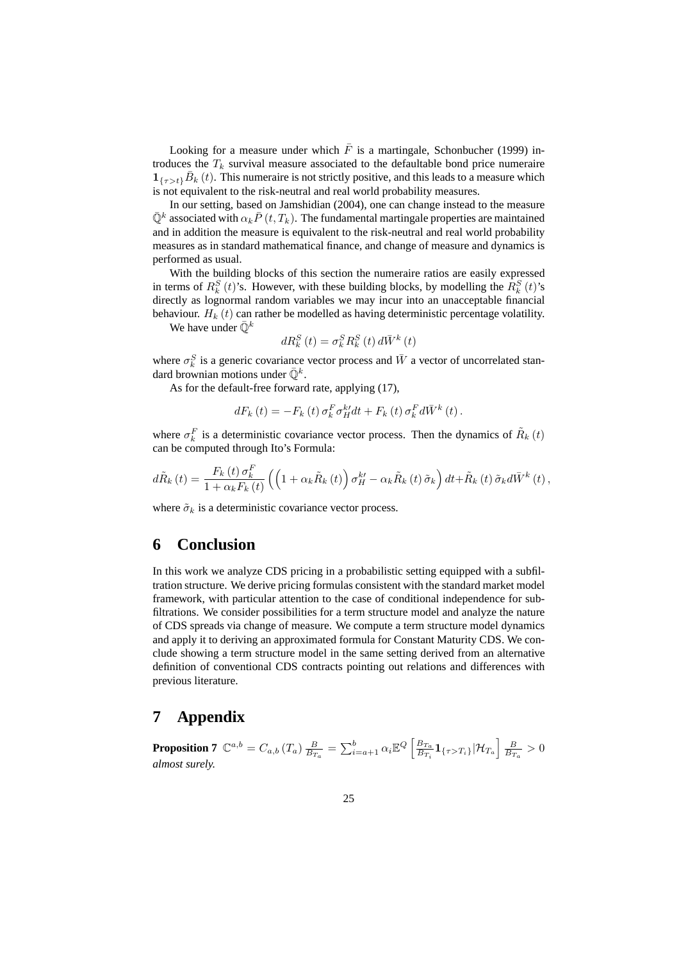Looking for a measure under which  $\overline{F}$  is a martingale, Schonbucher (1999) introduces the  $T_k$  survival measure associated to the defaultable bond price numeraire  $\mathbf{1}_{\{\tau > t\}}\bar{B}_{k}(t)$ . This numeraire is not strictly positive, and this leads to a measure which is not equivalent to the risk-neutral and real world probability measures.

In our setting, based on Jamshidian (2004), one can change instead to the measure  $\bar{\mathbb{Q}}^k$  associated with  $\alpha_k \bar{P}(t,T_k)$ . The fundamental martingale properties are maintained and in addition the measure is equivalent to the risk-neutral and real world probability measures as in standard mathematical finance, and change of measure and dynamics is performed as usual.

With the building blocks of this section the numeraire ratios are easily expressed in terms of  $R_k^S(t)$ 's. However, with these building blocks, by modelling the  $R_k^S(t)$ 's directly as lognormal random variables we may incur into an unacceptable financial behaviour.  $H_k(t)$  can rather be modelled as having deterministic percentage volatility.

We have under  $\bar{\mathbb{Q}}^k$ 

$$
dR_{k}^{S}\left(t\right) = \sigma_{k}^{S}R_{k}^{S}\left(t\right)d\bar{W}^{k}\left(t\right)
$$

where  $\sigma_k^S$  is a generic covariance vector process and  $\bar{W}$  a vector of uncorrelated standard brownian motions under  $\bar{\mathbb{Q}}^k$ .

As for the default-free forward rate, applying (17),

$$
dF_{k}(t) = -F_{k}(t)\sigma_{k}^{F}\sigma_{H}^{k'}dt + F_{k}(t)\sigma_{k}^{F}d\bar{W}^{k}(t).
$$

where  $\sigma_k^F$  is a deterministic covariance vector process. Then the dynamics of  $\tilde{R}_k(t)$ can be computed through Ito's Formula:

$$
d\tilde{R}_{k}\left(t\right)=\frac{F_{k}\left(t\right)\sigma_{k}^{F}}{1+\alpha_{k}F_{k}\left(t\right)}\left(\left(1+\alpha_{k}\tilde{R}_{k}\left(t\right)\right)\sigma_{H}^{k'}-\alpha_{k}\tilde{R}_{k}\left(t\right)\tilde{\sigma}_{k}\right)dt+\tilde{R}_{k}\left(t\right)\tilde{\sigma}_{k}d\bar{W}^{k}\left(t\right),
$$

where  $\tilde{\sigma}_k$  is a deterministic covariance vector process.

## **6 Conclusion**

In this work we analyze CDS pricing in a probabilistic setting equipped with a subfiltration structure. We derive pricing formulas consistent with the standard market model framework, with particular attention to the case of conditional independence for subfiltrations. We consider possibilities for a term structure model and analyze the nature of CDS spreads via change of measure. We compute a term structure model dynamics and apply it to deriving an approximated formula for Constant Maturity CDS. We conclude showing a term structure model in the same setting derived from an alternative definition of conventional CDS contracts pointing out relations and differences with previous literature.

## **7 Appendix**

**Proposition 7**  $\mathbb{C}^{a,b} = C_{a,b} (T_a) \frac{B}{B_{Ta}} = \sum_{i=a+1}^{b} \alpha_i \mathbb{E}^{Q} \left[ \frac{B_{Ta}}{B_{Ti}} \right]$  $\frac{B_{T_a}}{B_{T_i}}\mathbf{1}_{\{\tau>T_i\}}|\mathcal{H}_{T_a}$  $\frac{B}{B_{T_a}}>0$ *almost surely.*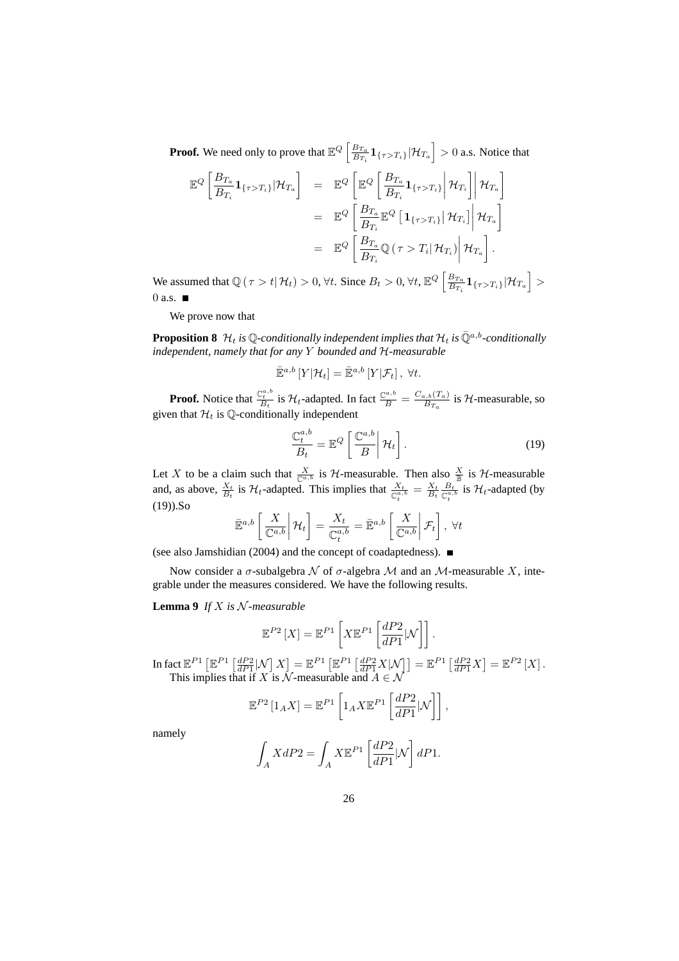**Proof.** We need only to prove that  $\mathbb{E}^{Q}$   $\left[\frac{B_{T_a}}{B_{T_a}}\right]$  $\frac{B_{T_a}}{B_{T_i}}\mathbf{1}_{\{\tau>T_i\}}|\mathcal{H}_{T_a}$ i > 0 a.s. Notice that

$$
\mathbb{E}^{Q}\left[\frac{B_{T_a}}{B_{T_i}}\mathbf{1}_{\{\tau>T_i\}}|\mathcal{H}_{T_a}\right] = \mathbb{E}^{Q}\left[\mathbb{E}^{Q}\left[\frac{B_{T_a}}{B_{T_i}}\mathbf{1}_{\{\tau>T_i\}}\middle|\mathcal{H}_{T_i}\right|\middle|\mathcal{H}_{T_a}\right]
$$

$$
= \mathbb{E}^{Q}\left[\frac{B_{T_a}}{B_{T_i}}\mathbb{E}^{Q}\left[\mathbf{1}_{\{\tau>T_i\}}\middle|\mathcal{H}_{T_i}\right]\middle|\mathcal{H}_{T_a}\right]
$$

$$
= \mathbb{E}^{Q}\left[\frac{B_{T_a}}{B_{T_i}}\mathbb{Q}\left(\tau>T_i\middle|\mathcal{H}_{T_i}\right)\middle|\mathcal{H}_{T_a}\right].
$$

We assumed that  $\mathbb{Q}(\tau > t | \mathcal{H}_t) > 0$ ,  $\forall t$ . Since  $B_t > 0$ ,  $\forall t$ ,  $\mathbb{E}^Q \left[ \frac{B_{T_a}}{B_{T_a}} \right]$  $\frac{B_{T_a}}{B_{T_i}}\mathbf{1}_{\{\tau>T_i\}}|\mathcal{H}_{T_a}$ > 0 a.s.  $\blacksquare$ 

We prove now that

**Proposition 8**  $\mathcal{H}_t$  *is* Q-conditionally independent implies that  $\mathcal{H}_t$  *is*  $\overline{Q}^{a,b}$ -conditionally *independent, namely that for any* Y *bounded and* H*-measurable*

$$
\mathbb{E}^{a,b}[Y|\mathcal{H}_t] = \mathbb{E}^{a,b}[Y|\mathcal{F}_t], \ \forall t.
$$

**Proof.** Notice that  $\frac{\mathbb{C}_t^{a,b}}{B_t}$  is  $\mathcal{H}_t$ -adapted. In fact  $\frac{\mathbb{C}^{a,b}}{B} = \frac{C_{a,b}(T_a)}{B_{T_a}}$  $\frac{B_{T_a}}{B_{T_a}}$  is H-measurable, so given that  $\mathcal{H}_t$  is Q-conditionally independent

$$
\frac{\mathbb{C}_t^{a,b}}{B_t} = \mathbb{E}^Q \left[ \frac{\mathbb{C}^{a,b}}{B} \middle| \mathcal{H}_t \right]. \tag{19}
$$

Let X to be a claim such that  $\frac{X}{\mathbb{C}^{a,b}}$  is H-measurable. Then also  $\frac{X}{\mathbb{B}}$  is H-measurable and, as above,  $\frac{X_t}{B_t}$  is  $\mathcal{H}_t$ -adapted. This implies that  $\frac{X_t}{\mathbb{C}_t^{a_t}} = \frac{X_t}{B_t} \frac{B_t}{\mathbb{C}_t^{a_t}}$  $\frac{B_t}{\mathbb{C}_t^{a,b}}$  is  $\mathcal{H}_t$ -adapted (by  $(19)$ ).So  $\overline{a}$  $\overline{a}$  $\overline{a}$  $\overline{a}$ 

$$
\bar{\mathbb{E}}^{a,b}\left[\left.\frac{X}{\mathbb{C}^{a,b}}\right|\mathcal{H}_t\right] = \frac{X_t}{\mathbb{C}_t^{a,b}} = \bar{\mathbb{E}}^{a,b}\left[\left.\frac{X}{\mathbb{C}^{a,b}}\right|\mathcal{F}_t\right], \ \forall t
$$

(see also Jamshidian (2004) and the concept of coadaptedness).

Now consider a  $\sigma$ -subalgebra  $\mathcal N$  of  $\sigma$ -algebra  $\mathcal M$  and an  $\mathcal M$ -measurable  $X$ , integrable under the measures considered. We have the following results.

**Lemma 9** *If* X *is* N *-measurable*

$$
\mathbb{E}^{P2}\left[X\right] = \mathbb{E}^{P1}\left[X\mathbb{E}^{P1}\left[\frac{dP2}{dP1}|\mathcal{N}\right]\right].
$$

In fact  $\mathbb{E}^{P1}$   $\lceil$  $\mathbb{E}^{P1}\left[\frac{dP2}{dP1}|\mathcal{N}\right]X$ l<br>E  $= \mathbb{E}^{P_1}$  $\mathbb{E}^{P1}\left[\frac{dP2}{dP1}X|\mathcal{N}\right] = \mathbb{E}^{P1}\left[\frac{dP2}{dP1}X\right]$ l<br>E  $= \mathbb{E}^{P2} [X].$ This implies that if X is N-measurable and  $A \in \mathcal{N}$ 

$$
\mathbb{E}^{P2}\left[1_A X\right] = \mathbb{E}^{P1}\left[1_A X \mathbb{E}^{P1}\left[\frac{dP2}{dP1}|\mathcal{N}\right]\right],
$$

namely

$$
\int_A XdP2 = \int_A X \mathbb{E}^{P1} \left[ \frac{dP2}{dP1} | \mathcal{N} \right] dP1.
$$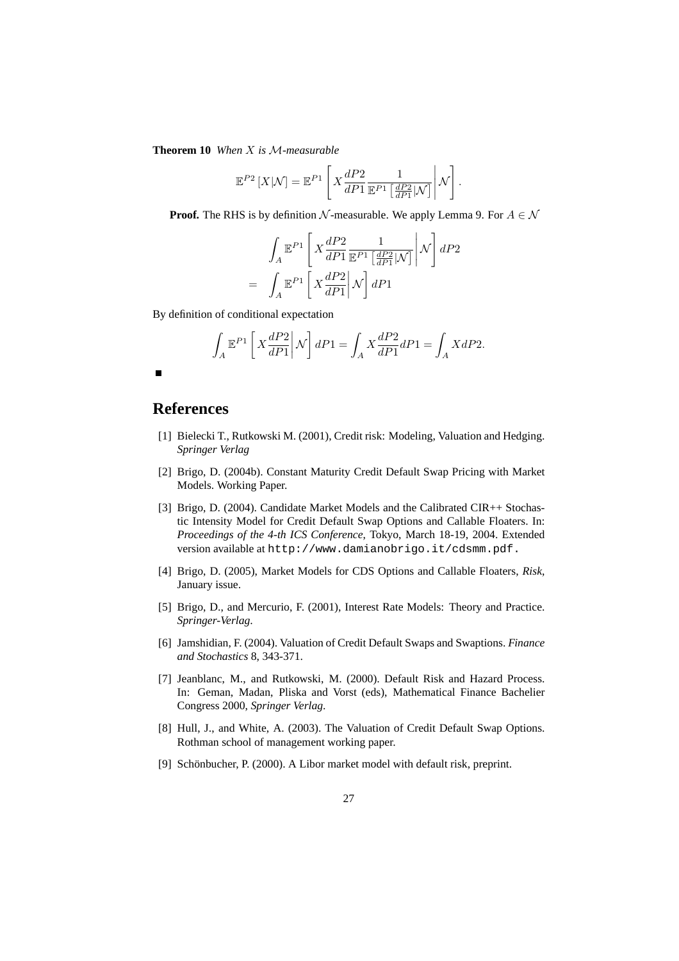**Theorem 10** *When* X *is* M*-measurable*

$$
\mathbb{E}^{P2}\left[X|\mathcal{N}\right] = \mathbb{E}^{P1}\left[X\frac{dP2}{dP1}\frac{1}{\mathbb{E}^{P1}\left[\frac{dP2}{dP1}|\mathcal{N}\right]}\middle|\mathcal{N}\right].
$$

**Proof.** The RHS is by definition N-measurable. We apply Lemma 9. For  $A \in \mathcal{N}$ 

$$
\int_{A} \mathbb{E}^{P1} \left[ X \frac{dP2}{dP1} \frac{1}{\mathbb{E}^{P1} \left[ \frac{dP2}{dP1} | \mathcal{N} \right]} \middle| \mathcal{N} \right] dP2
$$
\n
$$
= \int_{A} \mathbb{E}^{P1} \left[ X \frac{dP2}{dP1} | \mathcal{N} \right] dP1
$$

By definition of conditional expectation

$$
\int_A \mathbb{E}^{P1}\left[X\frac{dP2}{dP1}\middle|\mathcal{N}\right]dP1 = \int_A X\frac{dP2}{dP1}dP1 = \int_A XdP2.
$$

# **References**

- [1] Bielecki T., Rutkowski M. (2001), Credit risk: Modeling, Valuation and Hedging. *Springer Verlag*
- [2] Brigo, D. (2004b). Constant Maturity Credit Default Swap Pricing with Market Models. Working Paper.
- [3] Brigo, D. (2004). Candidate Market Models and the Calibrated CIR++ Stochastic Intensity Model for Credit Default Swap Options and Callable Floaters. In: *Proceedings of the 4-th ICS Conference*, Tokyo, March 18-19, 2004. Extended version available at http://www.damianobrigo.it/cdsmm.pdf.
- [4] Brigo, D. (2005), Market Models for CDS Options and Callable Floaters, *Risk*, January issue.
- [5] Brigo, D., and Mercurio, F. (2001), Interest Rate Models: Theory and Practice. *Springer-Verlag*.
- [6] Jamshidian, F. (2004). Valuation of Credit Default Swaps and Swaptions. *Finance and Stochastics* 8, 343-371.
- [7] Jeanblanc, M., and Rutkowski, M. (2000). Default Risk and Hazard Process. In: Geman, Madan, Pliska and Vorst (eds), Mathematical Finance Bachelier Congress 2000, *Springer Verlag*.
- [8] Hull, J., and White, A. (2003). The Valuation of Credit Default Swap Options. Rothman school of management working paper.
- [9] Schönbucher, P. (2000). A Libor market model with default risk, preprint.